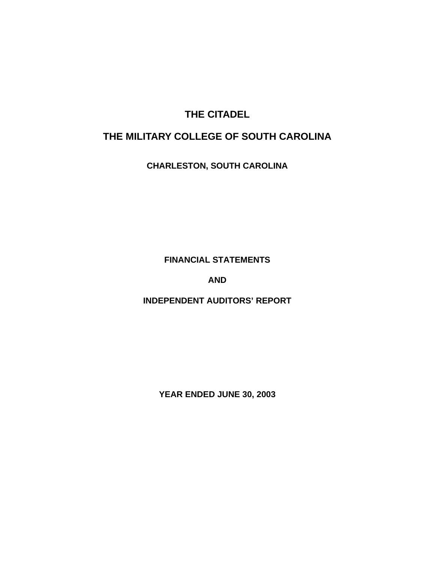# **THE CITADEL**

# **THE MILITARY COLLEGE OF SOUTH CAROLINA**

**CHARLESTON, SOUTH CAROLINA** 

**FINANCIAL STATEMENTS** 

**AND** 

**INDEPENDENT AUDITORS' REPORT** 

**YEAR ENDED JUNE 30, 2003**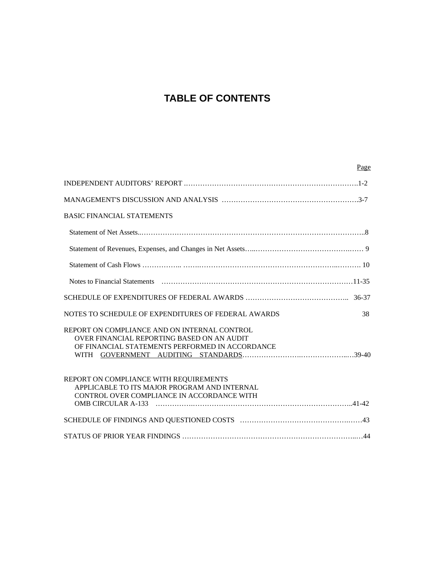# **TABLE OF CONTENTS**

| Page                                                                                                                                          |
|-----------------------------------------------------------------------------------------------------------------------------------------------|
|                                                                                                                                               |
|                                                                                                                                               |
| <b>BASIC FINANCIAL STATEMENTS</b>                                                                                                             |
|                                                                                                                                               |
|                                                                                                                                               |
|                                                                                                                                               |
|                                                                                                                                               |
|                                                                                                                                               |
| 38<br>NOTES TO SCHEDULE OF EXPENDITURES OF FEDERAL AWARDS                                                                                     |
| REPORT ON COMPLIANCE AND ON INTERNAL CONTROL<br>OVER FINANCIAL REPORTING BASED ON AN AUDIT<br>OF FINANCIAL STATEMENTS PERFORMED IN ACCORDANCE |
| REPORT ON COMPLIANCE WITH REQUIREMENTS<br>APPLICABLE TO ITS MAJOR PROGRAM AND INTERNAL<br>CONTROL OVER COMPLIANCE IN ACCORDANCE WITH          |
|                                                                                                                                               |
|                                                                                                                                               |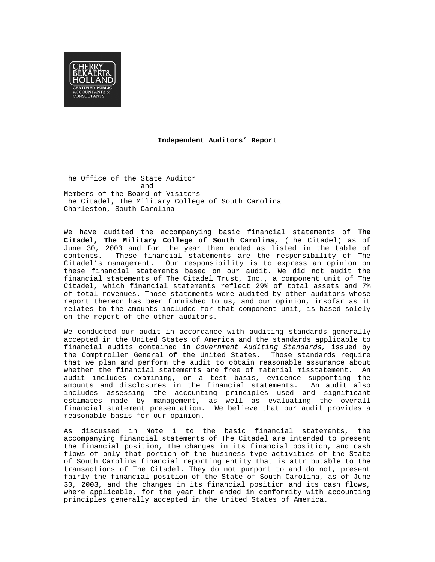

#### **Independent Auditors' Report**

The Office of the State Auditor and and state and and state and state  $\mathbb{R}^n$ Members of the Board of Visitors The Citadel, The Military College of South Carolina Charleston, South Carolina

We have audited the accompanying basic financial statements of **The Citadel, The Military College of South Carolina**, (The Citadel) as of June 30, 2003 and for the year then ended as listed in the table of contents. These financial statements are the responsibility of The Citadel's management. Our responsibility is to express an opinion on these financial statements based on our audit. We did not audit the financial statements of The Citadel Trust, Inc., a component unit of The Citadel, which financial statements reflect 29% of total assets and 7% of total revenues. Those statements were audited by other auditors whose report thereon has been furnished to us, and our opinion, insofar as it relates to the amounts included for that component unit, is based solely on the report of the other auditors.

We conducted our audit in accordance with auditing standards generally accepted in the United States of America and the standards applicable to financial audits contained in *Government Auditing Standards,* issued by the Comptroller General of the United States. Those standards require that we plan and perform the audit to obtain reasonable assurance about whether the financial statements are free of material misstatement. An audit includes examining, on a test basis, evidence supporting the amounts and disclosures in the financial statements. An audit also includes assessing the accounting principles used and significant estimates made by management, as well as evaluating the overall financial statement presentation. We believe that our audit provides a reasonable basis for our opinion.

As discussed in Note 1 to the basic financial statements, the accompanying financial statements of The Citadel are intended to present the financial position, the changes in its financial position, and cash flows of only that portion of the business type activities of the State of South Carolina financial reporting entity that is attributable to the transactions of The Citadel. They do not purport to and do not, present fairly the financial position of the State of South Carolina, as of June 30, 2003, and the changes in its financial position and its cash flows, where applicable, for the year then ended in conformity with accounting principles generally accepted in the United States of America.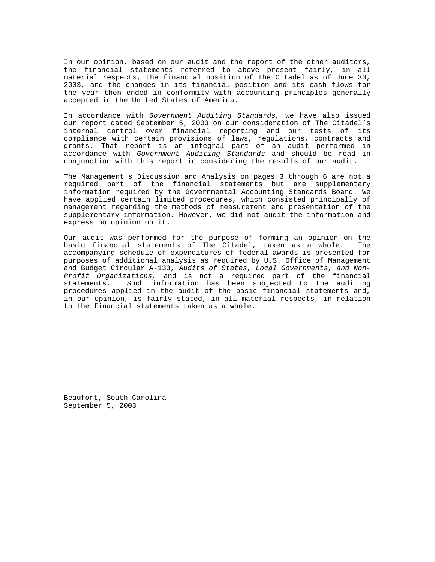In our opinion, based on our audit and the report of the other auditors, the financial statements referred to above present fairly, in all material respects, the financial position of The Citadel as of June 30, 2003, and the changes in its financial position and its cash flows for the year then ended in conformity with accounting principles generally accepted in the United States of America.

In accordance with *Government Auditing Standards,* we have also issued our report dated September 5, 2003 on our consideration of The Citadel's internal control over financial reporting and our tests of its compliance with certain provisions of laws, regulations, contracts and grants. That report is an integral part of an audit performed in accordance with *Government Auditing Standards* and should be read in conjunction with this report in considering the results of our audit.

The Management's Discussion and Analysis on pages 3 through 6 are not a required part of the financial statements but are supplementary information required by the Governmental Accounting Standards Board. We have applied certain limited procedures, which consisted principally of management regarding the methods of measurement and presentation of the supplementary information. However, we did not audit the information and express no opinion on it.

Our audit was performed for the purpose of forming an opinion on the basic financial statements of The Citadel, taken as a whole. The accompanying schedule of expenditures of federal awards is presented for purposes of additional analysis as required by U.S. Office of Management and Budget Circular A-133, *Audits of States, Local Governments, and Non-Profit Organizations,* and is not a required part of the financial statements. Such information has been subjected to the auditing procedures applied in the audit of the basic financial statements and, in our opinion, is fairly stated, in all material respects, in relation to the financial statements taken as a whole.

Beaufort, South Carolina September 5, 2003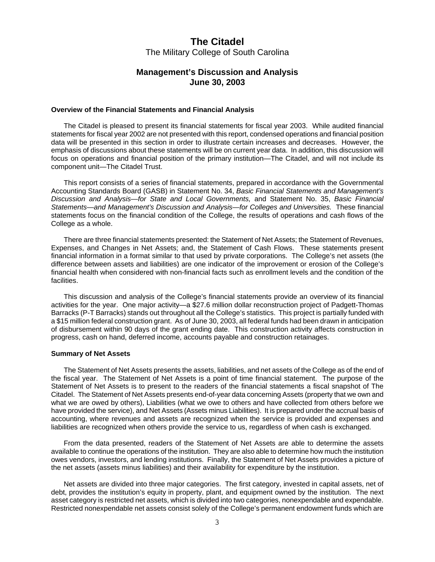## **Management's Discussion and Analysis June 30, 2003**

#### **Overview of the Financial Statements and Financial Analysis**

The Citadel is pleased to present its financial statements for fiscal year 2003. While audited financial statements for fiscal year 2002 are not presented with this report, condensed operations and financial position data will be presented in this section in order to illustrate certain increases and decreases. However, the emphasis of discussions about these statements will be on current year data. In addition, this discussion will focus on operations and financial position of the primary institution—The Citadel, and will not include its component unit—The Citadel Trust.

This report consists of a series of financial statements, prepared in accordance with the Governmental Accounting Standards Board (GASB) in Statement No. 34, *Basic Financial Statements and Management's Discussion and Analysis—for State and Local Governments,* and Statement No. 35, *Basic Financial Statements—and Management's Discussion and Analysis—for Colleges and Universities.* These financial statements focus on the financial condition of the College, the results of operations and cash flows of the College as a whole.

There are three financial statements presented: the Statement of Net Assets; the Statement of Revenues, Expenses, and Changes in Net Assets; and, the Statement of Cash Flows. These statements present financial information in a format similar to that used by private corporations. The College's net assets (the difference between assets and liabilities) are one indicator of the improvement or erosion of the College's financial health when considered with non-financial facts such as enrollment levels and the condition of the facilities.

This discussion and analysis of the College's financial statements provide an overview of its financial activities for the year. One major activity—a \$27.6 million dollar reconstruction project of Padgett-Thomas Barracks (P-T Barracks) stands out throughout all the College's statistics. This project is partially funded with a \$15 million federal construction grant. As of June 30, 2003, all federal funds had been drawn in anticipation of disbursement within 90 days of the grant ending date. This construction activity affects construction in progress, cash on hand, deferred income, accounts payable and construction retainages.

#### **Summary of Net Assets**

The Statement of Net Assets presents the assets, liabilities, and net assets of the College as of the end of the fiscal year. The Statement of Net Assets is a point of time financial statement. The purpose of the Statement of Net Assets is to present to the readers of the financial statements a fiscal snapshot of The Citadel. The Statement of Net Assets presents end-of-year data concerning Assets (property that we own and what we are owed by others), Liabilities (what we owe to others and have collected from others before we have provided the service), and Net Assets (Assets minus Liabilities). It is prepared under the accrual basis of accounting, where revenues and assets are recognized when the service is provided and expenses and liabilities are recognized when others provide the service to us, regardless of when cash is exchanged.

From the data presented, readers of the Statement of Net Assets are able to determine the assets available to continue the operations of the institution. They are also able to determine how much the institution owes vendors, investors, and lending institutions. Finally, the Statement of Net Assets provides a picture of the net assets (assets minus liabilities) and their availability for expenditure by the institution.

Net assets are divided into three major categories. The first category, invested in capital assets, net of debt, provides the institution's equity in property, plant, and equipment owned by the institution. The next asset category is restricted net assets, which is divided into two categories, nonexpendable and expendable. Restricted nonexpendable net assets consist solely of the College's permanent endowment funds which are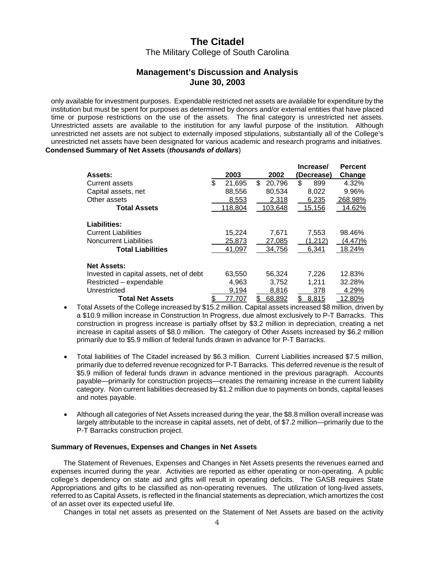## **Management's Discussion and Analysis June 30, 2003**

only available for investment purposes. Expendable restricted net assets are available for expenditure by the institution but must be spent for purposes as determined by donors and/or external entities that have placed time or purpose restrictions on the use of the assets. The final category is unrestricted net assets. Unrestricted assets are available to the institution for any lawful purpose of the institution. Although unrestricted net assets are not subject to externally imposed stipulations, substantially all of the College's unrestricted net assets have been designated for various academic and research programs and initiatives. **Condensed Summary of Net Assets** (*thousands of dollars*)

|                                         |              |              | Increase/   | <b>Percent</b> |
|-----------------------------------------|--------------|--------------|-------------|----------------|
| <b>Assets:</b>                          | 2003         | 2002         | (Decrease)  | Change         |
| Current assets                          | \$<br>21,695 | \$<br>20.796 | \$<br>899   | 4.32%          |
| Capital assets, net                     | 88,556       | 80,534       | 8,022       | 9.96%          |
| Other assets                            | 8,553        | 2,318        | 6,235       | 268.98%        |
| <b>Total Assets</b>                     | 118,804      | 103,648      | 15,156      | 14.62%         |
| Liabilities:                            |              |              |             |                |
| <b>Current Liabilities</b>              | 15,224       | 7.671        | 7,553       | 98.46%         |
| <b>Noncurrent Liabilities</b>           | 25,873       | 27,085       | (1,212)     | $(4.47)\%$     |
| <b>Total Liabilities</b>                | 41,097       | 34.756       | 6.341       | 18.24%         |
| <b>Net Assets:</b>                      |              |              |             |                |
| Invested in capital assets, net of debt | 63,550       | 56,324       | 7,226       | 12.83%         |
| Restricted - expendable                 | 4,963        | 3,752        | 1,211       | 32.28%         |
| Unrestricted                            | 9,194        | 8,816        | 378         | 4.29%          |
| <b>Total Net Assets</b>                 | \$<br>77.707 | \$<br>68,892 | \$<br>8,815 | 12.80%         |

- Total Assets of the College increased by \$15.2 million. Capital assets increased \$8 million, driven by a \$10.9 million increase in Construction In Progress, due almost exclusively to P-T Barracks. This construction in progress increase is partially offset by \$3.2 million in depreciation, creating a net increase in capital assets of \$8.0 million. The category of Other Assets increased by \$6.2 million primarily due to \$5.9 million of federal funds drawn in advance for P-T Barracks.
- Total liabilities of The Citadel increased by \$6.3 million. Current Liabilities increased \$7.5 million, primarily due to deferred revenue recognized for P-T Barracks. This deferred revenue is the result of \$5.9 million of federal funds drawn in advance mentioned in the previous paragraph. Accounts payable—primarily for construction projects—creates the remaining increase in the current liability category. Non current liabilities decreased by \$1.2 million due to payments on bonds, capital leases and notes payable.
- Although all categories of Net Assets increased during the year, the \$8.8 million overall increase was largely attributable to the increase in capital assets, net of debt, of \$7.2 million—primarily due to the P-T Barracks construction project.

#### **Summary of Revenues, Expenses and Changes in Net Assets**

 The Statement of Revenues, Expenses and Changes in Net Assets presents the revenues earned and expenses incurred during the year. Activities are reported as either operating or non-operating. A public college's dependency on state aid and gifts will result in operating deficits. The GASB requires State Appropriations and gifts to be classified as non-operating revenues. The utilization of long-lived assets, referred to as Capital Assets, is reflected in the financial statements as depreciation, which amortizes the cost of an asset over its expected useful life.

Changes in total net assets as presented on the Statement of Net Assets are based on the activity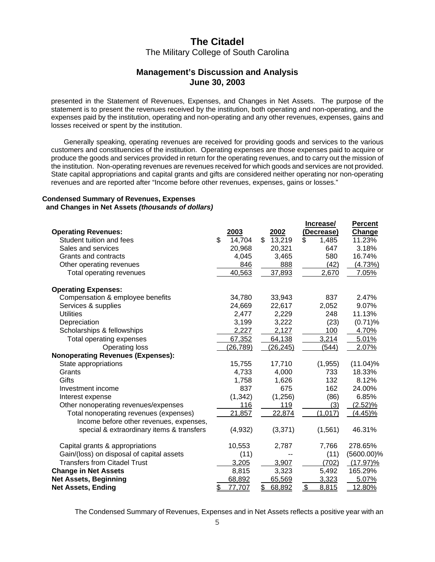## **Management's Discussion and Analysis June 30, 2003**

presented in the Statement of Revenues, Expenses, and Changes in Net Assets. The purpose of the statement is to present the revenues received by the institution, both operating and non-operating, and the expenses paid by the institution, operating and non-operating and any other revenues, expenses, gains and losses received or spent by the institution.

Generally speaking, operating revenues are received for providing goods and services to the various customers and constituencies of the institution. Operating expenses are those expenses paid to acquire or produce the goods and services provided in return for the operating revenues, and to carry out the mission of the institution. Non-operating revenues are revenues received for which goods and services are not provided. State capital appropriations and capital grants and gifts are considered neither operating nor non-operating revenues and are reported after "Income before other revenues, expenses, gains or losses."

#### **Condensed Summary of Revenues, Expenses and Changes in Net Assets** *(thousands of dollars)*

| <b>Operating Revenues:</b><br>Student tuition and fees<br>Sales and services<br>Grants and contracts<br>Other operating revenues                                                    | \$<br>2003<br>14,704<br>20,968<br>4,045<br>846        | \$<br>2002<br>13,219<br>20,321<br>3,465<br>888        | \$<br>Increase/<br>(Decrease)<br>1,485<br>647<br>580<br>(42) | <b>Percent</b><br>Change<br>11.23%<br>3.18%<br>16.74%<br>(4.73%) |
|-------------------------------------------------------------------------------------------------------------------------------------------------------------------------------------|-------------------------------------------------------|-------------------------------------------------------|--------------------------------------------------------------|------------------------------------------------------------------|
| Total operating revenues                                                                                                                                                            | 40,563                                                | 37,893                                                | 2,670                                                        | 7.05%                                                            |
| <b>Operating Expenses:</b><br>Compensation & employee benefits<br>Services & supplies<br><b>Utilities</b><br>Depreciation<br>Scholarships & fellowships<br>Total operating expenses | 34,780<br>24,669<br>2,477<br>3,199<br>2,227<br>67,352 | 33,943<br>22,617<br>2,229<br>3,222<br>2,127<br>64,138 | 837<br>2,052<br>248<br>(23)<br>100<br>3,214                  | 2.47%<br>9.07%<br>11.13%<br>$(0.71)$ %<br>4.70%<br>5.01%         |
| Operating loss                                                                                                                                                                      | (26,789)                                              | (26, 245)                                             | (544)                                                        | 2.07%                                                            |
| <b>Nonoperating Revenues (Expenses):</b>                                                                                                                                            |                                                       |                                                       |                                                              |                                                                  |
| State appropriations<br>Grants                                                                                                                                                      | 15,755<br>4,733                                       | 17,710<br>4,000                                       | (1, 955)<br>733                                              | $(11.04)\%$<br>18.33%                                            |
| Gifts                                                                                                                                                                               | 1,758                                                 | 1,626                                                 | 132                                                          | 8.12%                                                            |
| Investment income                                                                                                                                                                   | 837                                                   | 675                                                   | 162                                                          | 24.00%                                                           |
| Interest expense                                                                                                                                                                    | (1, 342)                                              | (1,256)                                               | (86)                                                         | 6.85%                                                            |
| Other nonoperating revenues/expenses<br>Total nonoperating revenues (expenses)<br>Income before other revenues, expenses,<br>special & extraordinary items & transfers              | 116<br>21,857<br>(4,932)                              | 119<br>22,874<br>(3, 371)                             | (3)<br>(1, 017)<br>(1, 561)                                  | $(2.52)\%$<br><u>(4.45)%</u><br>46.31%                           |
| Capital grants & appropriations                                                                                                                                                     | 10,553                                                | 2,787                                                 | 7,766                                                        | 278.65%                                                          |
| Gain/(loss) on disposal of capital assets                                                                                                                                           | (11)                                                  |                                                       | (11)                                                         | $(5600.00)\%$                                                    |
| <b>Transfers from Citadel Trust</b>                                                                                                                                                 | 3,205                                                 | 3,907                                                 | (702)                                                        | $(17.97)\%$                                                      |
| <b>Change in Net Assets</b>                                                                                                                                                         | 8,815                                                 | 3,323                                                 | 5,492                                                        | 165.29%                                                          |
| <b>Net Assets, Beginning</b>                                                                                                                                                        | 68,892                                                | 65,569                                                | 3,323                                                        | 5.07%                                                            |
| <b>Net Assets, Ending</b>                                                                                                                                                           | \$<br>77,707                                          | \$<br>68,892                                          | \$<br>8,815                                                  | 12.80%                                                           |

The Condensed Summary of Revenues, Expenses and in Net Assets reflects a positive year with an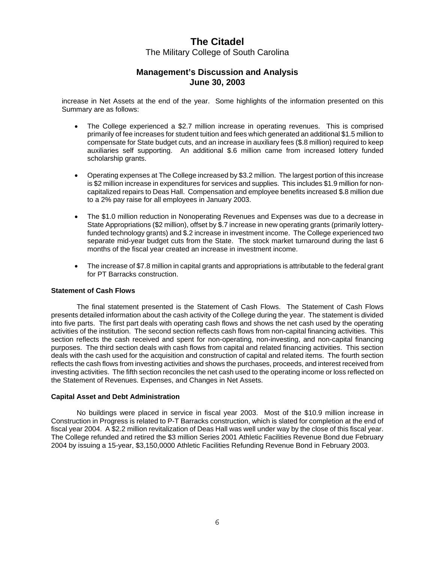## **Management's Discussion and Analysis June 30, 2003**

increase in Net Assets at the end of the year. Some highlights of the information presented on this Summary are as follows:

- The College experienced a \$2.7 million increase in operating revenues. This is comprised primarily of fee increases for student tuition and fees which generated an additional \$1.5 million to compensate for State budget cuts, and an increase in auxiliary fees (\$.8 million) required to keep auxiliaries self supporting. An additional \$.6 million came from increased lottery funded scholarship grants.
- Operating expenses at The College increased by \$3.2 million. The largest portion of this increase is \$2 million increase in expenditures for services and supplies. This includes \$1.9 million for noncapitalized repairs to Deas Hall. Compensation and employee benefits increased \$.8 million due to a 2% pay raise for all employees in January 2003.
- The \$1.0 million reduction in Nonoperating Revenues and Expenses was due to a decrease in State Appropriations (\$2 million), offset by \$.7 increase in new operating grants (primarily lotteryfunded technology grants) and \$.2 increase in investment income. The College experienced two separate mid-year budget cuts from the State. The stock market turnaround during the last 6 months of the fiscal year created an increase in investment income.
- The increase of \$7.8 million in capital grants and appropriations is attributable to the federal grant for PT Barracks construction.

#### **Statement of Cash Flows**

 The final statement presented is the Statement of Cash Flows. The Statement of Cash Flows presents detailed information about the cash activity of the College during the year. The statement is divided into five parts. The first part deals with operating cash flows and shows the net cash used by the operating activities of the institution. The second section reflects cash flows from non-capital financing activities. This section reflects the cash received and spent for non-operating, non-investing, and non-capital financing purposes. The third section deals with cash flows from capital and related financing activities. This section deals with the cash used for the acquisition and construction of capital and related items. The fourth section reflects the cash flows from investing activities and shows the purchases, proceeds, and interest received from investing activities. The fifth section reconciles the net cash used to the operating income or loss reflected on the Statement of Revenues. Expenses, and Changes in Net Assets.

#### **Capital Asset and Debt Administration**

 No buildings were placed in service in fiscal year 2003. Most of the \$10.9 million increase in Construction in Progress is related to P-T Barracks construction, which is slated for completion at the end of fiscal year 2004. A \$2.2 million revitalization of Deas Hall was well under way by the close of this fiscal year. The College refunded and retired the \$3 million Series 2001 Athletic Facilities Revenue Bond due February 2004 by issuing a 15-year, \$3,150,0000 Athletic Facilities Refunding Revenue Bond in February 2003.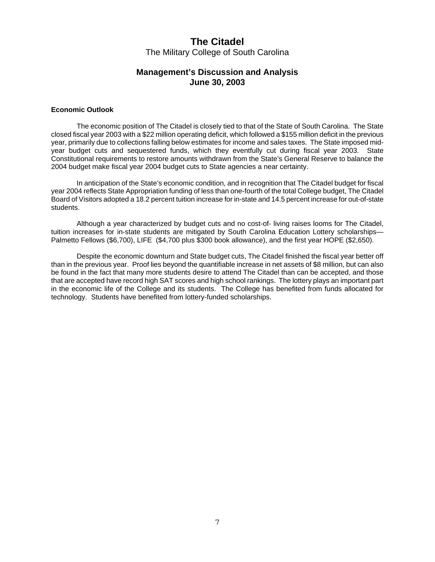## **Management's Discussion and Analysis June 30, 2003**

#### **Economic Outlook**

 The economic position of The Citadel is closely tied to that of the State of South Carolina. The State closed fiscal year 2003 with a \$22 million operating deficit, which followed a \$155 million deficit in the previous year, primarily due to collections falling below estimates for income and sales taxes. The State imposed midyear budget cuts and sequestered funds, which they eventfully cut during fiscal year 2003. State Constitutional requirements to restore amounts withdrawn from the State's General Reserve to balance the 2004 budget make fiscal year 2004 budget cuts to State agencies a near certainty.

 In anticipation of the State's economic condition, and in recognition that The Citadel budget for fiscal year 2004 reflects State Appropriation funding of less than one-fourth of the total College budget, The Citadel Board of Visitors adopted a 18.2 percent tuition increase for in-state and 14.5 percent increase for out-of-state students.

 Although a year characterized by budget cuts and no cost-of- living raises looms for The Citadel, tuition increases for in-state students are mitigated by South Carolina Education Lottery scholarships— Palmetto Fellows (\$6,700), LIFE (\$4,700 plus \$300 book allowance), and the first year HOPE (\$2,650).

 Despite the economic downturn and State budget cuts, The Citadel finished the fiscal year better off than in the previous year. Proof lies beyond the quantifiable increase in net assets of \$8 million, but can also be found in the fact that many more students desire to attend The Citadel than can be accepted, and those that are accepted have record high SAT scores and high school rankings. The lottery plays an important part in the economic life of the College and its students. The College has benefited from funds allocated for technology. Students have benefited from lottery-funded scholarships.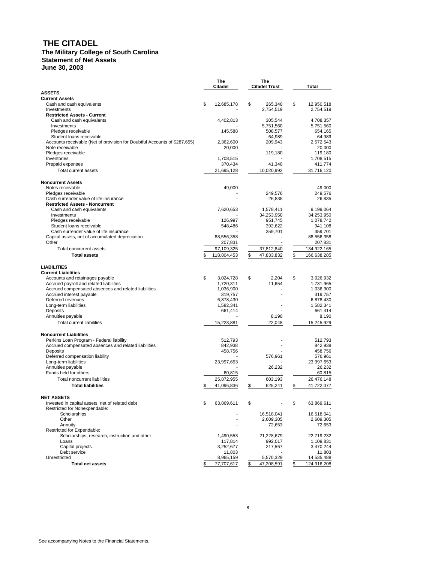# **THE CITADEL**

#### **The Military College of South Carolina Statement of Net Assets June 30, 2003**

|                                                                                                  | <b>The</b><br>Citadel  | The<br><b>Citadel Trust</b> | Total                  |
|--------------------------------------------------------------------------------------------------|------------------------|-----------------------------|------------------------|
| <b>ASSETS</b>                                                                                    |                        |                             |                        |
| <b>Current Assets</b><br>Cash and cash equivalents                                               | \$<br>12,685,178       | \$<br>265,340               | \$<br>12,950,518       |
| Investments                                                                                      |                        | 2,754,519                   | 2,754,519              |
| <b>Restricted Assets - Current</b>                                                               |                        |                             |                        |
| Cash and cash equivalents                                                                        | 4,402,813              | 305,544                     | 4,708,357              |
| Investments                                                                                      |                        | 5,751,560                   | 5,751,560              |
| Pledges receivable<br>Student loans receivable                                                   | 145,588                | 508,577<br>64,989           | 654,165<br>64,989      |
| Accounts receivable (Net of provision for Doubtful Accounts of \$287,655)                        | 2,362,600              | 209,943                     | 2,572,543              |
| Note receivable                                                                                  | 20,000                 |                             | 20.000                 |
| Pledges receivable                                                                               |                        | 119,180                     | 119,180                |
| Inventories                                                                                      | 1,708,515              | 41,340                      | 1,708,515              |
| Prepaid expenses<br>Total current assets                                                         | 370,434<br>21,695,128  |                             | 411,774                |
|                                                                                                  |                        | 10,020,992                  | 31,716,120             |
| <b>Noncurrent Assets</b>                                                                         |                        |                             |                        |
| Notes receivable                                                                                 | 49,000                 |                             | 49,000                 |
| Pledges receivable                                                                               |                        | 249,576                     | 249,576                |
| Cash surrender value of life insurance                                                           |                        | 26,835                      | 26,835                 |
| <b>Restricted Assets - Noncurrent</b><br>Cash and cash equivalents                               | 7,620,653              | 1,578,411                   | 9,199,064              |
| Investments                                                                                      |                        | 34,253,950                  | 34,253,950             |
| Pledges receivable                                                                               | 126,997                | 951,745                     | 1,078,742              |
| Student loans receivable                                                                         | 548,486                | 392,622                     | 941,108                |
| Cash surrender value of life insurance                                                           |                        | 359,701                     | 359,701                |
| Capital assets, net of accumulated depreciation                                                  | 88,556,358             |                             | 88,556,358             |
| Other                                                                                            | 207,831                |                             | 207,831                |
| Total noncurrent assets                                                                          | 97,109,325             | 37,812,840                  | 134,922,165            |
| <b>Total assets</b>                                                                              | \$<br>118,804,453      | \$<br>47,833,832            | \$<br>166,638,285      |
| <b>LIABILITIES</b>                                                                               |                        |                             |                        |
| <b>Current Liabilities</b>                                                                       |                        |                             |                        |
| Accounts and retainages payable                                                                  | \$<br>3,024,728        | \$<br>2,204                 | \$<br>3,026,932        |
| Accrued payroll and related liabilities                                                          | 1,720,311              | 11.654                      | 1,731,965              |
| Accrued compensated absences and related liabilities                                             | 1,036,900              |                             | 1,036,900              |
| Accrued interest payable<br>Deferred revenues                                                    | 319,757                |                             | 319,757                |
| Long-term liabilities                                                                            | 6,878,430<br>1,582,341 |                             | 6,878,430<br>1,582,341 |
| Deposits                                                                                         | 661,414                |                             | 661,414                |
| Annuities payable                                                                                |                        | 8,190                       | 8,190                  |
| <b>Total current liabilities</b>                                                                 | 15,223,881             | 22,048                      | 15,245,929             |
|                                                                                                  |                        |                             |                        |
| <b>Noncurrent Liabilities</b>                                                                    |                        |                             |                        |
| Perkins Loan Program - Federal liability<br>Accrued compensated absences and related liabilities | 512,793<br>842,938     |                             | 512,793<br>842,938     |
| Deposits                                                                                         | 458,756                |                             | 458,756                |
| Deferred compensation liability                                                                  |                        | 576,961                     | 576,961                |
| Long-term liabilities                                                                            | 23,997,653             |                             | 23,997,653             |
| Annuities payable                                                                                |                        | 26,232                      | 26,232                 |
| Funds held for others                                                                            | 60,815                 |                             | 60,815                 |
| <b>Total noncurrent liabilities</b>                                                              | 25,872,955             | 603,193                     | 26,476,148             |
| <b>Total liabilities</b>                                                                         | \$<br>41,096,836       | \$<br>625,241               | \$<br>41,722,077       |
| NET ASSETS                                                                                       |                        |                             |                        |
| Invested in capital assets, net of related debt                                                  | \$<br>63,869,611       | \$                          | \$<br>63,869,611       |
| Restricted for Nonexpendable:                                                                    |                        |                             |                        |
| Scholarships                                                                                     |                        | 16,518,041                  | 16,518,041             |
| Other                                                                                            |                        | 2,609,305                   | 2,609,305              |
| Annuity                                                                                          |                        | 72,653                      | 72,653                 |
| Restricted for Expendable:<br>Scholarships, research, instruction and other                      | 1,490,553              | 21,228,679                  | 22,719,232             |
| Loans                                                                                            | 117,814                | 992,017                     | 1,109,831              |
| Capital projects                                                                                 | 3,252,677              | 217,567                     | 3,470,244              |
| Debt service                                                                                     | 11,803                 |                             | 11,803                 |
| Unrestricted                                                                                     | 8,965,159              | 5,570,329                   | 14,535,488             |
| <b>Total net assets</b>                                                                          | \$<br>77,707,617       | \$<br>47,208,591            | \$<br>124,916,208      |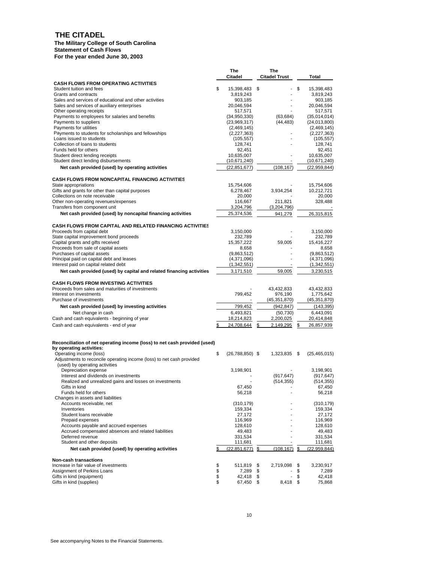#### **THE CITADEL**

#### **The Military College of South Carolina Statement of Cash Flows For the year ended June 30, 2003**

|                                                                                   |          | The<br>Citadel            | The<br><b>Citadel Trust</b> |          | Total                     |
|-----------------------------------------------------------------------------------|----------|---------------------------|-----------------------------|----------|---------------------------|
| <b>CASH FLOWS FROM OPERATING ACTIVITIES</b>                                       |          |                           |                             |          |                           |
| Student tuition and fees                                                          | \$       | 15,398,483                | \$                          | \$       | 15,398,483                |
| Grants and contracts<br>Sales and services of educational and other activities    |          | 3,819,243<br>903,185      |                             |          | 3,819,243<br>903,185      |
| Sales and services of auxiliary enterprises                                       |          | 20,046,594                | ٠                           |          | 20,046,594                |
| Other operating receipts                                                          |          | 517,571                   |                             |          | 517,571                   |
| Payments to employees for salaries and benefits                                   |          | (34, 950, 330)            | (63, 684)                   |          | (35,014,014)              |
| Payments to suppliers                                                             |          | (23,969,317)              | (44, 483)                   |          | (24,013,800)              |
| Payments for utilities                                                            |          | (2,469,145)               |                             |          | (2,469,145)               |
| Payments to students for scholarships and fellowships<br>Loans issued to students |          | (2,227,363)<br>(105, 557) | $\overline{a}$              |          | (2,227,363)<br>(105, 557) |
| Collection of loans to students                                                   |          | 128,741                   | ÷.                          |          | 128,741                   |
| Funds held for others                                                             |          | 92,451                    |                             |          | 92,451                    |
| Student direct lending receipts                                                   |          | 10,635,007                |                             |          | 10,635,007                |
| Student direct lending disbursements                                              |          | (10,671,240)              |                             |          | (10,671,240)              |
| Net cash provided (used) by operating activities                                  |          | (22, 851, 677)            | (108, 167)                  |          | (22, 959, 844)            |
| <b>CASH FLOWS FROM NONCAPITAL FINANCING ACTIVITIES</b><br>State appropriations    |          | 15,754,606                |                             |          |                           |
| Gifts and grants for other than capital purposes                                  |          | 6,278,467                 | 3,934,254                   |          | 15,754,606<br>10,212,721  |
| Collections on note receivable                                                    |          | 20,000                    |                             |          | 20,000                    |
| Other non-operating revenues/expenses                                             |          | 116,667                   | 211,821                     |          | 328,488                   |
| Transfers from component unit                                                     |          | 3,204,796                 | (3,204,796)                 |          |                           |
| Net cash provided (used) by noncapital financing activities                       |          | 25,374,536                | 941,279                     |          | 26,315,815                |
| <b>CASH FLOWS FROM CAPITAL AND RELATED FINANCING ACTIVITIES</b>                   |          |                           |                             |          |                           |
| Proceeds from capital debt<br>State capital improvement bond proceeds             |          | 3,150,000                 |                             |          | 3,150,000                 |
| Capital grants and gifts received                                                 |          | 232,789<br>15,357,222     | 59,005                      |          | 232,789<br>15,416,227     |
| Proceeds from sale of capital assets                                              |          | 8,658                     |                             |          | 8,658                     |
| Purchases of capital assets                                                       |          | (9,863,512)               |                             |          | (9,863,512)               |
| Principal paid on capital debt and leases                                         |          | (4,371,096)               |                             |          | (4,371,096)               |
| Interest paid on capital related debt                                             |          | (1,342,551)               |                             |          | (1,342,551)               |
| Net cash provided (used) by capital and related financing activities              |          | 3,171,510                 | 59,005                      |          | 3,230,515                 |
| <b>CASH FLOWS FROM INVESTING ACTIVITIES</b>                                       |          |                           |                             |          |                           |
| Proceeds from sales and maturities of investments                                 |          |                           | 43,432,833                  |          | 43,432,833                |
| Interest on investments<br>Purchase of investments                                |          | 799,452                   | 976,190                     |          | 1,775,642                 |
|                                                                                   |          | 799,452                   | (45, 351, 870)              |          | (45,351,870)              |
| Net cash provided (used) by investing activities<br>Net change in cash            |          | 6,493,821                 | (942,847)<br>(50, 730)      |          | (143, 395)<br>6,443,091   |
| Cash and cash equivalents - beginning of year                                     |          | 18,214,823                | 2,200,025                   |          | 20,414,848                |
| Cash and cash equivalents - end of year                                           |          | 24.708.644                | 2.149.295<br>\$             | \$       | 26,857,939                |
|                                                                                   |          |                           |                             |          |                           |
| Reconciliation of net operating income (loss) to net cash provided (used)         |          |                           |                             |          |                           |
| by operating activities:<br>Operating income (loss)                               | \$       | $(26,788,850)$ \$         | 1,323,835                   | - \$     | (25, 465, 015)            |
| Adjustments to reconcile operating income (loss) to net cash provided             |          |                           |                             |          |                           |
| (used) by operating activities                                                    |          |                           |                             |          |                           |
| Depreciation expense                                                              |          | 3,198,901                 |                             |          | 3,198,901                 |
| Interest and dividends on investments                                             |          |                           | (917, 647)                  |          | (917, 647)                |
| Realized and unrealized gains and losses on investments<br>Gifts in kind          |          | 67,450                    | (514, 355)                  |          | (514, 355)                |
| Funds held for others                                                             |          | 56,218                    |                             |          | 67,450<br>56,218          |
| Changes in assets and liabilities                                                 |          |                           |                             |          |                           |
| Accounts receivable, net                                                          |          | (310, 179)                |                             |          | (310, 179)                |
| Inventories                                                                       |          | 159,334                   |                             |          | 159,334                   |
| Student loans receivable                                                          |          | 27,172                    |                             |          | 27,172                    |
| Prepaid expenses<br>Accounts payable and accrued expenses                         |          | 116,969<br>128,610        |                             |          | 116,969<br>128,610        |
| Accrued compensated absences and related liabilities                              |          | 49,483                    |                             |          | 49,483                    |
| Deferred revenue                                                                  |          | 331,534                   |                             |          | 331,534                   |
| Student and other deposits                                                        |          | 111,681                   |                             |          | 111,681                   |
| Net cash provided (used) by operating activities                                  |          | (22, 851, 677)            | (108, 167)<br>\$            | \$       | (22, 959, 844)            |
| Non-cash transactions                                                             |          |                           |                             |          |                           |
| Increase in fair value of investments<br>Assignment of Perkins Loans              | \$<br>\$ | 511,819<br>7,289          | \$<br>2,719,098<br>\$       | \$<br>\$ | 3,230,917<br>7,289        |
| Gifts in kind (equipment)                                                         | \$       | 42,418                    | \$                          | \$       | 42,418                    |
| Gifts in kind (supplies)                                                          | \$       | 67,450 \$                 | 8,418 \$                    |          | 75,868                    |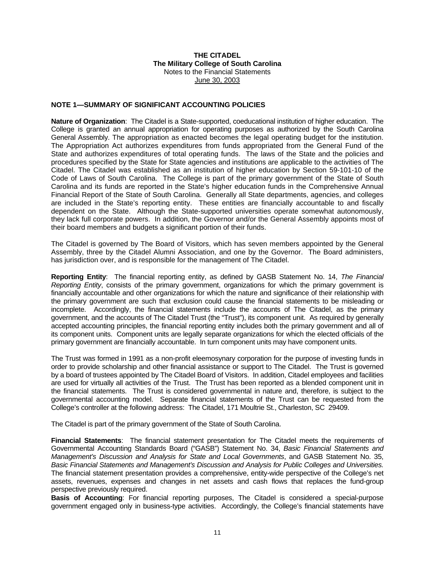### **NOTE 1—SUMMARY OF SIGNIFICANT ACCOUNTING POLICIES**

**Nature of Organization**: The Citadel is a State-supported, coeducational institution of higher education. The College is granted an annual appropriation for operating purposes as authorized by the South Carolina General Assembly. The appropriation as enacted becomes the legal operating budget for the institution. The Appropriation Act authorizes expenditures from funds appropriated from the General Fund of the State and authorizes expenditures of total operating funds. The laws of the State and the policies and procedures specified by the State for State agencies and institutions are applicable to the activities of The Citadel. The Citadel was established as an institution of higher education by Section 59-101-10 of the Code of Laws of South Carolina. The College is part of the primary government of the State of South Carolina and its funds are reported in the State's higher education funds in the Comprehensive Annual Financial Report of the State of South Carolina. Generally all State departments, agencies, and colleges are included in the State's reporting entity. These entities are financially accountable to and fiscally dependent on the State. Although the State-supported universities operate somewhat autonomously, they lack full corporate powers. In addition, the Governor and/or the General Assembly appoints most of their board members and budgets a significant portion of their funds.

The Citadel is governed by The Board of Visitors, which has seven members appointed by the General Assembly, three by the Citadel Alumni Association, and one by the Governor. The Board administers, has jurisdiction over, and is responsible for the management of The Citadel.

**Reporting Entity**: The financial reporting entity, as defined by GASB Statement No. 14, *The Financial Reporting Entity*, consists of the primary government, organizations for which the primary government is financially accountable and other organizations for which the nature and significance of their relationship with the primary government are such that exclusion could cause the financial statements to be misleading or incomplete. Accordingly, the financial statements include the accounts of The Citadel, as the primary government, and the accounts of The Citadel Trust (the "Trust"), its component unit. As required by generally accepted accounting principles, the financial reporting entity includes both the primary government and all of its component units. Component units are legally separate organizations for which the elected officials of the primary government are financially accountable. In turn component units may have component units.

The Trust was formed in 1991 as a non-profit eleemosynary corporation for the purpose of investing funds in order to provide scholarship and other financial assistance or support to The Citadel. The Trust is governed by a board of trustees appointed by The Citadel Board of Visitors. In addition, Citadel employees and facilities are used for virtually all activities of the Trust. The Trust has been reported as a blended component unit in the financial statements. The Trust is considered governmental in nature and, therefore, is subject to the governmental accounting model. Separate financial statements of the Trust can be requested from the College's controller at the following address: The Citadel, 171 Moultrie St., Charleston, SC 29409.

The Citadel is part of the primary government of the State of South Carolina.

**Financial Statements**: The financial statement presentation for The Citadel meets the requirements of Governmental Accounting Standards Board ("GASB") Statement No. 34, *Basic Financial Statements and Management's Discussion and Analysis for State and Local Governments*, and GASB Statement No. 35, *Basic Financial Statements and Management's Discussion and Analysis for Public Colleges and Universities.* The financial statement presentation provides a comprehensive, entity-wide perspective of the College's net assets, revenues, expenses and changes in net assets and cash flows that replaces the fund-group perspective previously required.

**Basis of Accounting**: For financial reporting purposes, The Citadel is considered a special-purpose government engaged only in business-type activities. Accordingly, the College's financial statements have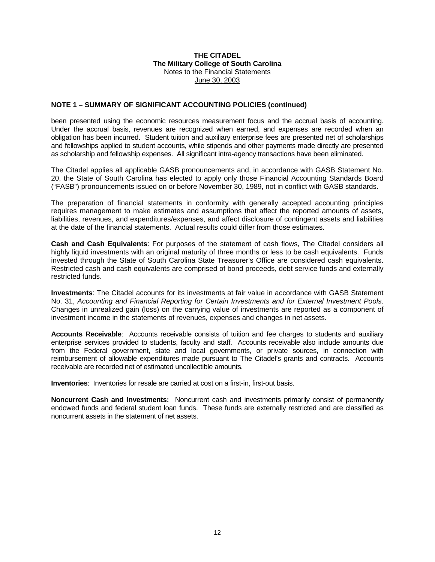#### **NOTE 1 – SUMMARY OF SIGNIFICANT ACCOUNTING POLICIES (continued)**

been presented using the economic resources measurement focus and the accrual basis of accounting. Under the accrual basis, revenues are recognized when earned, and expenses are recorded when an obligation has been incurred. Student tuition and auxiliary enterprise fees are presented net of scholarships and fellowships applied to student accounts, while stipends and other payments made directly are presented as scholarship and fellowship expenses. All significant intra-agency transactions have been eliminated.

The Citadel applies all applicable GASB pronouncements and, in accordance with GASB Statement No. 20, the State of South Carolina has elected to apply only those Financial Accounting Standards Board ("FASB") pronouncements issued on or before November 30, 1989, not in conflict with GASB standards.

The preparation of financial statements in conformity with generally accepted accounting principles requires management to make estimates and assumptions that affect the reported amounts of assets, liabilities, revenues, and expenditures/expenses, and affect disclosure of contingent assets and liabilities at the date of the financial statements. Actual results could differ from those estimates.

**Cash and Cash Equivalents**: For purposes of the statement of cash flows, The Citadel considers all highly liquid investments with an original maturity of three months or less to be cash equivalents. Funds invested through the State of South Carolina State Treasurer's Office are considered cash equivalents. Restricted cash and cash equivalents are comprised of bond proceeds, debt service funds and externally restricted funds.

**Investments**: The Citadel accounts for its investments at fair value in accordance with GASB Statement No. 31, *Accounting and Financial Reporting for Certain Investments and for External Investment Pools*. Changes in unrealized gain (loss) on the carrying value of investments are reported as a component of investment income in the statements of revenues, expenses and changes in net assets.

**Accounts Receivable**: Accounts receivable consists of tuition and fee charges to students and auxiliary enterprise services provided to students, faculty and staff. Accounts receivable also include amounts due from the Federal government, state and local governments, or private sources, in connection with reimbursement of allowable expenditures made pursuant to The Citadel's grants and contracts. Accounts receivable are recorded net of estimated uncollectible amounts.

**Inventories**: Inventories for resale are carried at cost on a first-in, first-out basis.

**Noncurrent Cash and Investments:** Noncurrent cash and investments primarily consist of permanently endowed funds and federal student loan funds. These funds are externally restricted and are classified as noncurrent assets in the statement of net assets.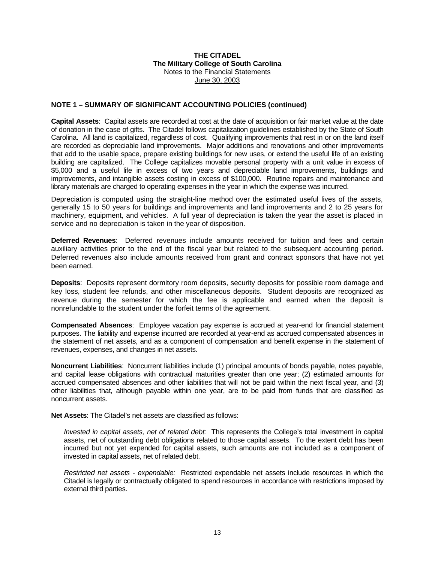#### **NOTE 1 – SUMMARY OF SIGNIFICANT ACCOUNTING POLICIES (continued)**

**Capital Assets**: Capital assets are recorded at cost at the date of acquisition or fair market value at the date of donation in the case of gifts. The Citadel follows capitalization guidelines established by the State of South Carolina. All land is capitalized, regardless of cost. Qualifying improvements that rest in or on the land itself are recorded as depreciable land improvements. Major additions and renovations and other improvements that add to the usable space, prepare existing buildings for new uses, or extend the useful life of an existing building are capitalized. The College capitalizes movable personal property with a unit value in excess of \$5,000 and a useful life in excess of two years and depreciable land improvements, buildings and improvements, and intangible assets costing in excess of \$100,000. Routine repairs and maintenance and library materials are charged to operating expenses in the year in which the expense was incurred.

Depreciation is computed using the straight-line method over the estimated useful lives of the assets, generally 15 to 50 years for buildings and improvements and land improvements and 2 to 25 years for machinery, equipment, and vehicles. A full year of depreciation is taken the year the asset is placed in service and no depreciation is taken in the year of disposition.

**Deferred Revenues**: Deferred revenues include amounts received for tuition and fees and certain auxiliary activities prior to the end of the fiscal year but related to the subsequent accounting period. Deferred revenues also include amounts received from grant and contract sponsors that have not yet been earned.

**Deposits**: Deposits represent dormitory room deposits, security deposits for possible room damage and key loss, student fee refunds, and other miscellaneous deposits. Student deposits are recognized as revenue during the semester for which the fee is applicable and earned when the deposit is nonrefundable to the student under the forfeit terms of the agreement.

**Compensated Absences**: Employee vacation pay expense is accrued at year-end for financial statement purposes. The liability and expense incurred are recorded at year-end as accrued compensated absences in the statement of net assets, and as a component of compensation and benefit expense in the statement of revenues, expenses, and changes in net assets.

**Noncurrent Liabilities**: Noncurrent liabilities include (1) principal amounts of bonds payable, notes payable, and capital lease obligations with contractual maturities greater than one year; (2) estimated amounts for accrued compensated absences and other liabilities that will not be paid within the next fiscal year, and (3) other liabilities that, although payable within one year, are to be paid from funds that are classified as noncurrent assets.

**Net Assets**: The Citadel's net assets are classified as follows:

*Invested in capital assets, net of related debt:* This represents the College's total investment in capital assets, net of outstanding debt obligations related to those capital assets. To the extent debt has been incurred but not yet expended for capital assets, such amounts are not included as a component of invested in capital assets, net of related debt.

 *Restricted net assets - expendable:* Restricted expendable net assets include resources in which the Citadel is legally or contractually obligated to spend resources in accordance with restrictions imposed by external third parties.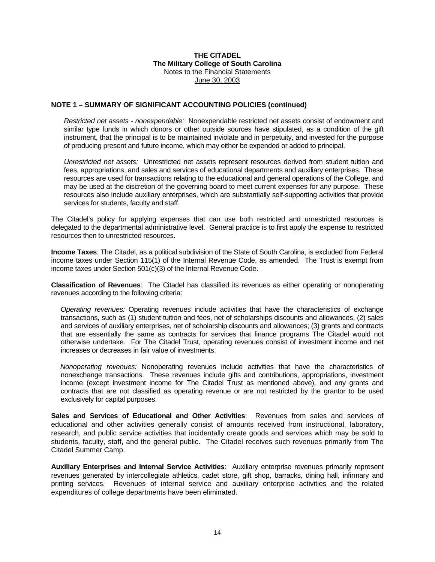#### **NOTE 1 – SUMMARY OF SIGNIFICANT ACCOUNTING POLICIES (continued)**

 *Restricted net assets - nonexpendable:* Nonexpendable restricted net assets consist of endowment and similar type funds in which donors or other outside sources have stipulated, as a condition of the gift instrument, that the principal is to be maintained inviolate and in perpetuity, and invested for the purpose of producing present and future income, which may either be expended or added to principal.

*Unrestricted net assets:* Unrestricted net assets represent resources derived from student tuition and fees, appropriations, and sales and services of educational departments and auxiliary enterprises. These resources are used for transactions relating to the educational and general operations of the College, and may be used at the discretion of the governing board to meet current expenses for any purpose. These resources also include auxiliary enterprises, which are substantially self-supporting activities that provide services for students, faculty and staff.

The Citadel's policy for applying expenses that can use both restricted and unrestricted resources is delegated to the departmental administrative level. General practice is to first apply the expense to restricted resources then to unrestricted resources.

**Income Taxes**: The Citadel, as a political subdivision of the State of South Carolina, is excluded from Federal income taxes under Section 115(1) of the Internal Revenue Code, as amended. The Trust is exempt from income taxes under Section 501(c)(3) of the Internal Revenue Code.

**Classification of Revenues**: The Citadel has classified its revenues as either operating or nonoperating revenues according to the following criteria:

*Operating revenues:* Operating revenues include activities that have the characteristics of exchange transactions, such as (1) student tuition and fees, net of scholarships discounts and allowances, (2) sales and services of auxiliary enterprises, net of scholarship discounts and allowances; (3) grants and contracts that are essentially the same as contracts for services that finance programs The Citadel would not otherwise undertake. For The Citadel Trust, operating revenues consist of investment income and net increases or decreases in fair value of investments.

 *Nonoperating revenues:* Nonoperating revenues include activities that have the characteristics of nonexchange transactions. These revenues include gifts and contributions, appropriations, investment income (except investment income for The Citadel Trust as mentioned above), and any grants and contracts that are not classified as operating revenue or are not restricted by the grantor to be used exclusively for capital purposes.

**Sales and Services of Educational and Other Activities**: Revenues from sales and services of educational and other activities generally consist of amounts received from instructional, laboratory, research, and public service activities that incidentally create goods and services which may be sold to students, faculty, staff, and the general public. The Citadel receives such revenues primarily from The Citadel Summer Camp.

**Auxiliary Enterprises and Internal Service Activities**: Auxiliary enterprise revenues primarily represent revenues generated by intercollegiate athletics, cadet store, gift shop, barracks, dining hall, infirmary and printing services. Revenues of internal service and auxiliary enterprise activities and the related expenditures of college departments have been eliminated.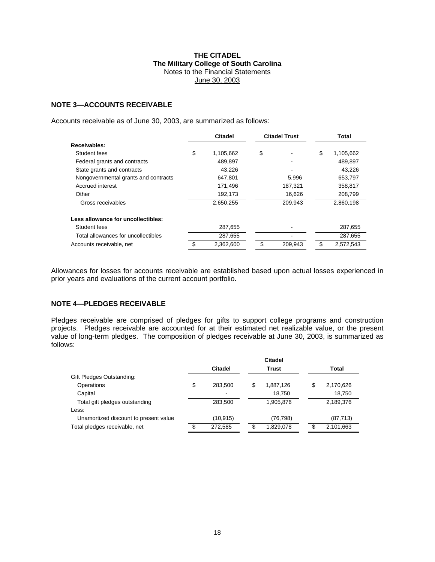### **NOTE 3—ACCOUNTS RECEIVABLE**

Accounts receivable as of June 30, 2003, are summarized as follows:

|                                      | <b>Citadel</b>  | <b>Citadel Trust</b> |         | Total           |
|--------------------------------------|-----------------|----------------------|---------|-----------------|
| Receivables:                         |                 |                      |         |                 |
| Student fees                         | \$<br>1,105,662 | \$                   |         | \$<br>1,105,662 |
| Federal grants and contracts         | 489,897         |                      |         | 489,897         |
| State grants and contracts           | 43.226          |                      |         | 43,226          |
| Nongovernmental grants and contracts | 647.801         |                      | 5,996   | 653,797         |
| Accrued interest                     | 171,496         |                      | 187,321 | 358,817         |
| Other                                | 192,173         |                      | 16.626  | 208,799         |
| Gross receivables                    | 2,650,255       |                      | 209,943 | 2,860,198       |
| Less allowance for uncollectibles:   |                 |                      |         |                 |
| Student fees                         | 287,655         |                      |         | 287,655         |
| Total allowances for uncollectibles  | 287,655         |                      |         | 287,655         |
| Accounts receivable, net             | 2.362.600       | \$                   | 209.943 | \$<br>2.572.543 |

Allowances for losses for accounts receivable are established based upon actual losses experienced in prior years and evaluations of the current account portfolio.

## **NOTE 4—PLEDGES RECEIVABLE**

Pledges receivable are comprised of pledges for gifts to support college programs and construction projects. Pledges receivable are accounted for at their estimated net realizable value, or the present value of long-term pledges. The composition of pledges receivable at June 30, 2003, is summarized as follows:

|                                       | Citadel |                          |       |           |   |           |  |
|---------------------------------------|---------|--------------------------|-------|-----------|---|-----------|--|
|                                       |         | Citadel                  | Trust |           |   | Total     |  |
| Gift Pledges Outstanding:             |         |                          |       |           |   |           |  |
| Operations                            | \$      | 283.500                  | \$    | 1,887,126 | S | 2,170,626 |  |
| Capital                               |         | $\overline{\phantom{a}}$ |       | 18.750    |   | 18,750    |  |
| Total gift pledges outstanding        |         | 283.500                  |       | 1,905,876 |   | 2,189,376 |  |
| Less:                                 |         |                          |       |           |   |           |  |
| Unamortized discount to present value |         | (10, 915)                |       | (76, 798) |   | (87, 713) |  |
| Total pledges receivable, net         | \$      | 272,585                  | S     | 1,829,078 |   | 2,101,663 |  |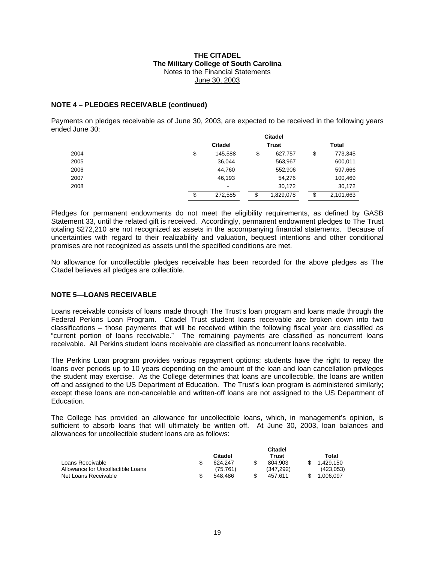#### **NOTE 4 – PLEDGES RECEIVABLE (continued)**

Payments on pledges receivable as of June 30, 2003, are expected to be received in the following years ended June 30: **Citadel** 

|      |                                |    | ultadel   |                 |
|------|--------------------------------|----|-----------|-----------------|
|      | <b>Citadel</b><br><b>Trust</b> |    |           | Total           |
| 2004 | \$<br>145,588                  | S  | 627,757   | \$<br>773,345   |
| 2005 | 36,044                         |    | 563,967   | 600,011         |
| 2006 | 44,760                         |    | 552,906   | 597,666         |
| 2007 | 46,193                         |    | 54,276    | 100,469         |
| 2008 | $\overline{\phantom{0}}$       |    | 30,172    | 30,172          |
|      | \$<br>272,585                  | \$ | 1,829,078 | \$<br>2,101,663 |

Pledges for permanent endowments do not meet the eligibility requirements, as defined by GASB Statement 33, until the related gift is received. Accordingly, permanent endowment pledges to The Trust totaling \$272,210 are not recognized as assets in the accompanying financial statements. Because of uncertainties with regard to their realizability and valuation, bequest intentions and other conditional promises are not recognized as assets until the specified conditions are met.

No allowance for uncollectible pledges receivable has been recorded for the above pledges as The Citadel believes all pledges are collectible.

#### **NOTE 5—LOANS RECEIVABLE**

Loans receivable consists of loans made through The Trust's loan program and loans made through the Federal Perkins Loan Program. Citadel Trust student loans receivable are broken down into two classifications – those payments that will be received within the following fiscal year are classified as "current portion of loans receivable." The remaining payments are classified as noncurrent loans receivable. All Perkins student loans receivable are classified as noncurrent loans receivable.

The Perkins Loan program provides various repayment options; students have the right to repay the loans over periods up to 10 years depending on the amount of the loan and loan cancellation privileges the student may exercise. As the College determines that loans are uncollectible, the loans are written off and assigned to the US Department of Education. The Trust's loan program is administered similarly; except these loans are non-cancelable and written-off loans are not assigned to the US Department of **Education** 

The College has provided an allowance for uncollectible loans, which, in management's opinion, is sufficient to absorb loans that will ultimately be written off. At June 30, 2003, loan balances and allowances for uncollectible student loans are as follows:

|                                   |                        | Citadel   |           |
|-----------------------------------|------------------------|-----------|-----------|
|                                   | Citadel                | Trust     | Total     |
| Loans Receivable                  | 624.247                | 804.903   | 1.429.150 |
| Allowance for Uncollectible Loans | $\left( 75.761\right)$ | (347.292) | (423,053) |
| Net Loans Receivable              | 548.486                | 457.611   | 006.097   |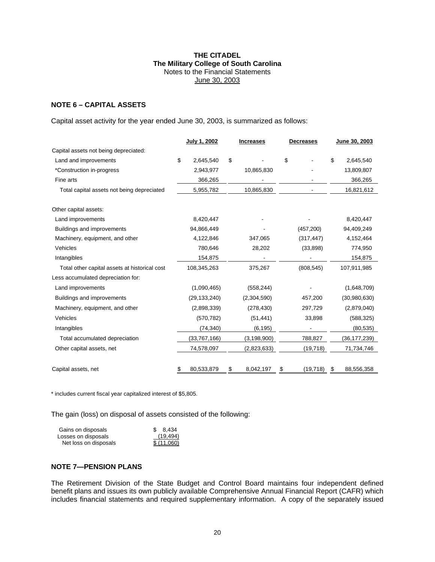## **NOTE 6 – CAPITAL ASSETS**

Capital asset activity for the year ended June 30, 2003, is summarized as follows:

|                                               | July 1, 2002     | <b>Increases</b> | <b>Decreases</b> | June 30, 2003    |
|-----------------------------------------------|------------------|------------------|------------------|------------------|
| Capital assets not being depreciated:         |                  |                  |                  |                  |
| Land and improvements                         | \$<br>2,645,540  | \$               | \$               | \$<br>2,645,540  |
| *Construction in-progress                     | 2,943,977        | 10,865,830       |                  | 13,809,807       |
| Fine arts                                     | 366,265          |                  |                  | 366,265          |
| Total capital assets not being depreciated    | 5,955,782        | 10,865,830       |                  | 16,821,612       |
| Other capital assets:                         |                  |                  |                  |                  |
| Land improvements                             | 8,420,447        |                  |                  | 8,420,447        |
| Buildings and improvements                    | 94,866,449       |                  | (457, 200)       | 94,409,249       |
| Machinery, equipment, and other               | 4,122,846        | 347,065          | (317, 447)       | 4,152,464        |
| Vehicles                                      | 780,646          | 28,202           | (33,898)         | 774,950          |
| Intangibles                                   | 154,875          |                  |                  | 154,875          |
| Total other capital assets at historical cost | 108,345,263      | 375,267          | (808, 545)       | 107,911,985      |
| Less accumulated depreciation for:            |                  |                  |                  |                  |
| Land improvements                             | (1,090,465)      | (558, 244)       |                  | (1,648,709)      |
| Buildings and improvements                    | (29, 133, 240)   | (2,304,590)      | 457,200          | (30, 980, 630)   |
| Machinery, equipment, and other               | (2,898,339)      | (278, 430)       | 297,729          | (2,879,040)      |
| Vehicles                                      | (570, 782)       | (51, 441)        | 33,898           | (588, 325)       |
| Intangibles                                   | (74, 340)        | (6, 195)         |                  | (80, 535)        |
| Total accumulated depreciation                | (33,767,166)     | (3, 198, 900)    | 788,827          | (36, 177, 239)   |
| Other capital assets, net                     | 74,578,097       | (2,823,633)      | (19, 718)        | 71,734,746       |
| Capital assets, net                           | \$<br>80,533,879 | \$<br>8,042,197  | \$<br>(19, 718)  | \$<br>88,556,358 |

\* includes current fiscal year capitalized interest of \$5,805.

The gain (loss) on disposal of assets consisted of the following:

| Gains on disposals    | \$ 8.434    |
|-----------------------|-------------|
| Losses on disposals   | (19,494)    |
| Net loss on disposals | \$ (11,060) |

#### **NOTE 7—PENSION PLANS**

The Retirement Division of the State Budget and Control Board maintains four independent defined benefit plans and issues its own publicly available Comprehensive Annual Financial Report (CAFR) which includes financial statements and required supplementary information. A copy of the separately issued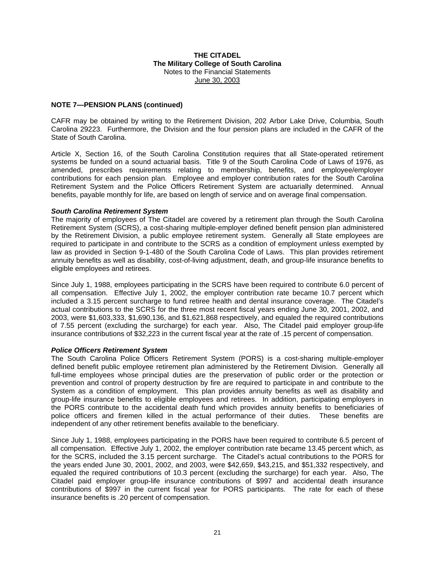### **NOTE 7—PENSION PLANS (continued)**

CAFR may be obtained by writing to the Retirement Division, 202 Arbor Lake Drive, Columbia, South Carolina 29223. Furthermore, the Division and the four pension plans are included in the CAFR of the State of South Carolina.

Article X, Section 16, of the South Carolina Constitution requires that all State-operated retirement systems be funded on a sound actuarial basis. Title 9 of the South Carolina Code of Laws of 1976, as amended, prescribes requirements relating to membership, benefits, and employee/employer contributions for each pension plan. Employee and employer contribution rates for the South Carolina Retirement System and the Police Officers Retirement System are actuarially determined. Annual benefits, payable monthly for life, are based on length of service and on average final compensation.

#### *South Carolina Retirement System*

The majority of employees of The Citadel are covered by a retirement plan through the South Carolina Retirement System (SCRS), a cost-sharing multiple-employer defined benefit pension plan administered by the Retirement Division, a public employee retirement system. Generally all State employees are required to participate in and contribute to the SCRS as a condition of employment unless exempted by law as provided in Section 9-1-480 of the South Carolina Code of Laws. This plan provides retirement annuity benefits as well as disability, cost-of-living adjustment, death, and group-life insurance benefits to eligible employees and retirees.

Since July 1, 1988, employees participating in the SCRS have been required to contribute 6.0 percent of all compensation. Effective July 1, 2002, the employer contribution rate became 10.7 percent which included a 3.15 percent surcharge to fund retiree health and dental insurance coverage. The Citadel's actual contributions to the SCRS for the three most recent fiscal years ending June 30, 2001, 2002, and 2003, were \$1,603,333, \$1,690,136, and \$1,621,868 respectively, and equaled the required contributions of 7.55 percent (excluding the surcharge) for each year. Also, The Citadel paid employer group-life insurance contributions of \$32,223 in the current fiscal year at the rate of .15 percent of compensation.

#### *Police Officers Retirement System*

The South Carolina Police Officers Retirement System (PORS) is a cost-sharing multiple-employer defined benefit public employee retirement plan administered by the Retirement Division. Generally all full-time employees whose principal duties are the preservation of public order or the protection or prevention and control of property destruction by fire are required to participate in and contribute to the System as a condition of employment. This plan provides annuity benefits as well as disability and group-life insurance benefits to eligible employees and retirees. In addition, participating employers in the PORS contribute to the accidental death fund which provides annuity benefits to beneficiaries of police officers and firemen killed in the actual performance of their duties. These benefits are independent of any other retirement benefits available to the beneficiary.

Since July 1, 1988, employees participating in the PORS have been required to contribute 6.5 percent of all compensation. Effective July 1, 2002, the employer contribution rate became 13.45 percent which, as for the SCRS, included the 3.15 percent surcharge. The Citadel's actual contributions to the PORS for the years ended June 30, 2001, 2002, and 2003, were \$42,659, \$43,215, and \$51,332 respectively, and equaled the required contributions of 10.3 percent (excluding the surcharge) for each year. Also, The Citadel paid employer group-life insurance contributions of \$997 and accidental death insurance contributions of \$997 in the current fiscal year for PORS participants. The rate for each of these insurance benefits is .20 percent of compensation.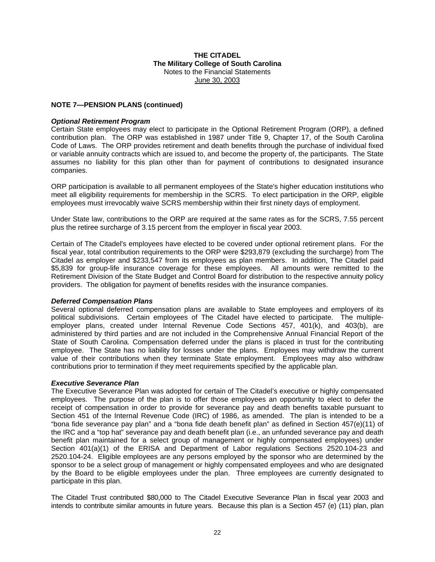#### **NOTE 7—PENSION PLANS (continued)**

#### *Optional Retirement Program*

Certain State employees may elect to participate in the Optional Retirement Program (ORP), a defined contribution plan. The ORP was established in 1987 under Title 9, Chapter 17, of the South Carolina Code of Laws. The ORP provides retirement and death benefits through the purchase of individual fixed or variable annuity contracts which are issued to, and become the property of, the participants. The State assumes no liability for this plan other than for payment of contributions to designated insurance companies.

ORP participation is available to all permanent employees of the State's higher education institutions who meet all eligibility requirements for membership in the SCRS. To elect participation in the ORP, eligible employees must irrevocably waive SCRS membership within their first ninety days of employment.

Under State law, contributions to the ORP are required at the same rates as for the SCRS, 7.55 percent plus the retiree surcharge of 3.15 percent from the employer in fiscal year 2003.

Certain of The Citadel's employees have elected to be covered under optional retirement plans. For the fiscal year, total contribution requirements to the ORP were \$293,879 (excluding the surcharge) from The Citadel as employer and \$233,547 from its employees as plan members. In addition, The Citadel paid \$5,839 for group-life insurance coverage for these employees. All amounts were remitted to the Retirement Division of the State Budget and Control Board for distribution to the respective annuity policy providers. The obligation for payment of benefits resides with the insurance companies.

#### *Deferred Compensation Plans*

Several optional deferred compensation plans are available to State employees and employers of its political subdivisions. Certain employees of The Citadel have elected to participate. The multipleemployer plans, created under Internal Revenue Code Sections 457, 401(k), and 403(b), are administered by third parties and are not included in the Comprehensive Annual Financial Report of the State of South Carolina. Compensation deferred under the plans is placed in trust for the contributing employee. The State has no liability for losses under the plans. Employees may withdraw the current value of their contributions when they terminate State employment. Employees may also withdraw contributions prior to termination if they meet requirements specified by the applicable plan.

#### *Executive Severance Plan*

The Executive Severance Plan was adopted for certain of The Citadel's executive or highly compensated employees. The purpose of the plan is to offer those employees an opportunity to elect to defer the receipt of compensation in order to provide for severance pay and death benefits taxable pursuant to Section 451 of the Internal Revenue Code (IRC) of 1986, as amended. The plan is intended to be a "bona fide severance pay plan" and a "bona fide death benefit plan" as defined in Section 457(e)(11) of the IRC and a "top hat" severance pay and death benefit plan (i.e., an unfunded severance pay and death benefit plan maintained for a select group of management or highly compensated employees) under Section 401(a)(1) of the ERISA and Department of Labor regulations Sections 2520.104-23 and 2520.104-24. Eligible employees are any persons employed by the sponsor who are determined by the sponsor to be a select group of management or highly compensated employees and who are designated by the Board to be eligible employees under the plan. Three employees are currently designated to participate in this plan.

The Citadel Trust contributed \$80,000 to The Citadel Executive Severance Plan in fiscal year 2003 and intends to contribute similar amounts in future years. Because this plan is a Section 457 (e) (11) plan, plan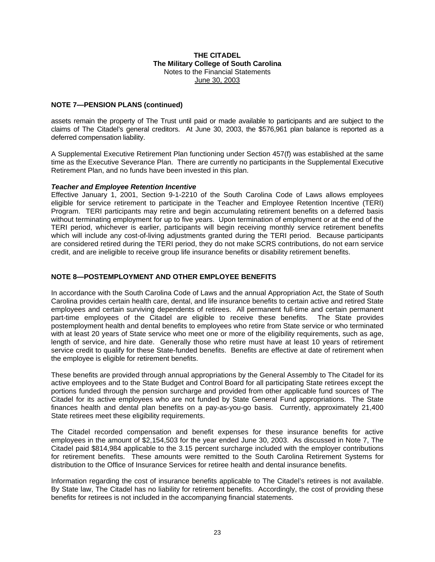### **NOTE 7—PENSION PLANS (continued)**

assets remain the property of The Trust until paid or made available to participants and are subject to the claims of The Citadel's general creditors. At June 30, 2003, the \$576,961 plan balance is reported as a deferred compensation liability.

A Supplemental Executive Retirement Plan functioning under Section 457(f) was established at the same time as the Executive Severance Plan. There are currently no participants in the Supplemental Executive Retirement Plan, and no funds have been invested in this plan.

#### *Teacher and Employee Retention Incentive*

Effective January 1, 2001, Section 9-1-2210 of the South Carolina Code of Laws allows employees eligible for service retirement to participate in the Teacher and Employee Retention Incentive (TERI) Program. TERI participants may retire and begin accumulating retirement benefits on a deferred basis without terminating employment for up to five years. Upon termination of employment or at the end of the TERI period, whichever is earlier, participants will begin receiving monthly service retirement benefits which will include any cost-of-living adjustments granted during the TERI period. Because participants are considered retired during the TERI period, they do not make SCRS contributions, do not earn service credit, and are ineligible to receive group life insurance benefits or disability retirement benefits.

### **NOTE 8—POSTEMPLOYMENT AND OTHER EMPLOYEE BENEFITS**

In accordance with the South Carolina Code of Laws and the annual Appropriation Act, the State of South Carolina provides certain health care, dental, and life insurance benefits to certain active and retired State employees and certain surviving dependents of retirees. All permanent full-time and certain permanent part-time employees of the Citadel are eligible to receive these benefits. The State provides postemployment health and dental benefits to employees who retire from State service or who terminated with at least 20 years of State service who meet one or more of the eligibility requirements, such as age, length of service, and hire date. Generally those who retire must have at least 10 years of retirement service credit to qualify for these State-funded benefits. Benefits are effective at date of retirement when the employee is eligible for retirement benefits.

These benefits are provided through annual appropriations by the General Assembly to The Citadel for its active employees and to the State Budget and Control Board for all participating State retirees except the portions funded through the pension surcharge and provided from other applicable fund sources of The Citadel for its active employees who are not funded by State General Fund appropriations. The State finances health and dental plan benefits on a pay-as-you-go basis. Currently, approximately 21,400 State retirees meet these eligibility requirements.

The Citadel recorded compensation and benefit expenses for these insurance benefits for active employees in the amount of \$2,154,503 for the year ended June 30, 2003. As discussed in Note 7, The Citadel paid \$814,984 applicable to the 3.15 percent surcharge included with the employer contributions for retirement benefits. These amounts were remitted to the South Carolina Retirement Systems for distribution to the Office of Insurance Services for retiree health and dental insurance benefits.

Information regarding the cost of insurance benefits applicable to The Citadel's retirees is not available. By State law, The Citadel has no liability for retirement benefits. Accordingly, the cost of providing these benefits for retirees is not included in the accompanying financial statements.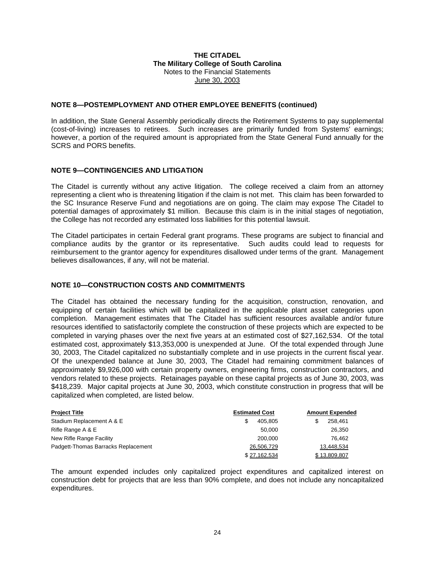#### **NOTE 8—POSTEMPLOYMENT AND OTHER EMPLOYEE BENEFITS (continued)**

In addition, the State General Assembly periodically directs the Retirement Systems to pay supplemental (cost-of-living) increases to retirees. Such increases are primarily funded from Systems' earnings; however, a portion of the required amount is appropriated from the State General Fund annually for the SCRS and PORS benefits.

### **NOTE 9—CONTINGENCIES AND LITIGATION**

The Citadel is currently without any active litigation. The college received a claim from an attorney representing a client who is threatening litigation if the claim is not met. This claim has been forwarded to the SC Insurance Reserve Fund and negotiations are on going. The claim may expose The Citadel to potential damages of approximately \$1 million. Because this claim is in the initial stages of negotiation, the College has not recorded any estimated loss liabilities for this potential lawsuit.

The Citadel participates in certain Federal grant programs. These programs are subject to financial and compliance audits by the grantor or its representative. Such audits could lead to requests for reimbursement to the grantor agency for expenditures disallowed under terms of the grant. Management believes disallowances, if any, will not be material.

#### **NOTE 10—CONSTRUCTION COSTS AND COMMITMENTS**

The Citadel has obtained the necessary funding for the acquisition, construction, renovation, and equipping of certain facilities which will be capitalized in the applicable plant asset categories upon completion. Management estimates that The Citadel has sufficient resources available and/or future resources identified to satisfactorily complete the construction of these projects which are expected to be completed in varying phases over the next five years at an estimated cost of \$27,162,534. Of the total estimated cost, approximately \$13,353,000 is unexpended at June. Of the total expended through June 30, 2003, The Citadel capitalized no substantially complete and in use projects in the current fiscal year. Of the unexpended balance at June 30, 2003, The Citadel had remaining commitment balances of approximately \$9,926,000 with certain property owners, engineering firms, construction contractors, and vendors related to these projects. Retainages payable on these capital projects as of June 30, 2003, was \$418,239. Major capital projects at June 30, 2003, which constitute construction in progress that will be capitalized when completed, are listed below.

| <b>Project Title</b>                | <b>Estimated Cost</b> | <b>Amount Expended</b> |
|-------------------------------------|-----------------------|------------------------|
| Stadium Replacement A & E           | 405.805               | 258.461<br>S           |
| Rifle Range A & E                   | 50,000                | 26.350                 |
| New Rifle Range Facility            | 200,000               | 76.462                 |
| Padgett-Thomas Barracks Replacement | 26,506,729            | 13,448,534             |
|                                     | \$27.162.534          | \$13.809.807           |

The amount expended includes only capitalized project expenditures and capitalized interest on construction debt for projects that are less than 90% complete, and does not include any noncapitalized expenditures.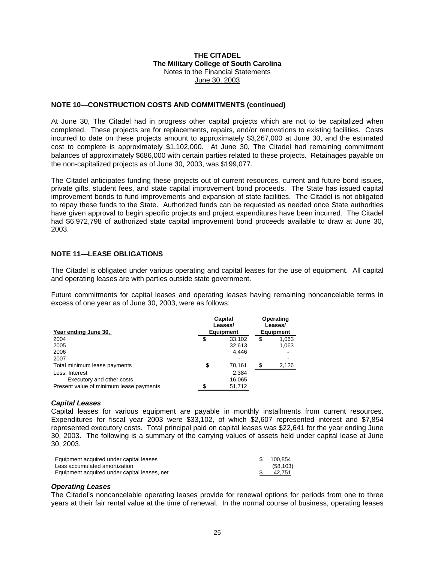#### **NOTE 10—CONSTRUCTION COSTS AND COMMITMENTS (continued)**

At June 30, The Citadel had in progress other capital projects which are not to be capitalized when completed. These projects are for replacements, repairs, and/or renovations to existing facilities. Costs incurred to date on these projects amount to approximately \$3,267,000 at June 30, and the estimated cost to complete is approximately \$1,102,000. At June 30, The Citadel had remaining commitment balances of approximately \$686,000 with certain parties related to these projects. Retainages payable on the non-capitalized projects as of June 30, 2003, was \$199,077.

The Citadel anticipates funding these projects out of current resources, current and future bond issues, private gifts, student fees, and state capital improvement bond proceeds. The State has issued capital improvement bonds to fund improvements and expansion of state facilities. The Citadel is not obligated to repay these funds to the State. Authorized funds can be requested as needed once State authorities have given approval to begin specific projects and project expenditures have been incurred. The Citadel had \$6,972,798 of authorized state capital improvement bond proceeds available to draw at June 30, 2003.

### **NOTE 11—LEASE OBLIGATIONS**

The Citadel is obligated under various operating and capital leases for the use of equipment. All capital and operating leases are with parties outside state government.

Future commitments for capital leases and operating leases having remaining noncancelable terms in excess of one year as of June 30, 2003, were as follows:

|                                         |   | Capital<br>Leases/<br><b>Equipment</b> | Operating<br>Leases/<br><b>Equipment</b> |
|-----------------------------------------|---|----------------------------------------|------------------------------------------|
| Year ending June 30,                    |   |                                        |                                          |
| 2004                                    | S | 33,102                                 | \$<br>1,063                              |
| 2005                                    |   | 32,613                                 | 1,063                                    |
| 2006                                    |   | 4.446                                  |                                          |
| 2007                                    |   |                                        |                                          |
| Total minimum lease payments            | S | 70,161                                 | 2.126                                    |
| Less: Interest                          |   | 2,384                                  |                                          |
| Executory and other costs               |   | 16,065                                 |                                          |
| Present value of minimum lease payments |   | 51,712                                 |                                          |

#### *Capital Leases*

Capital leases for various equipment are payable in monthly installments from current resources. Expenditures for fiscal year 2003 were \$33,102, of which \$2,607 represented interest and \$7,854 represented executory costs. Total principal paid on capital leases was \$22,641 for the year ending June 30, 2003. The following is a summary of the carrying values of assets held under capital lease at June 30, 2003.

| Equipment acquired under capital leases      | - SS | 100.854   |
|----------------------------------------------|------|-----------|
| Less accumulated amortization                |      | (58, 103) |
| Equipment acquired under capital leases, net |      | 42,751    |

#### *Operating Leases*

The Citadel's noncancelable operating leases provide for renewal options for periods from one to three years at their fair rental value at the time of renewal. In the normal course of business, operating leases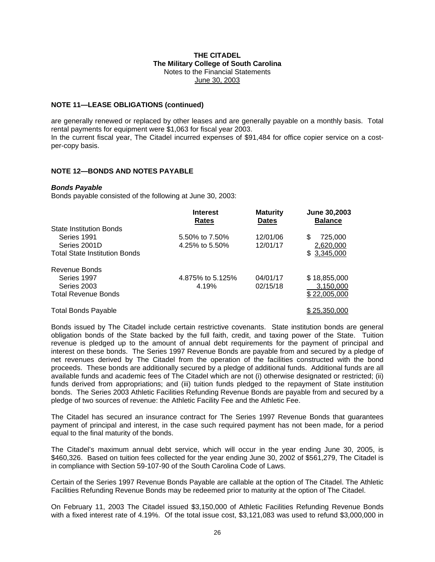#### **NOTE 11—LEASE OBLIGATIONS (continued)**

are generally renewed or replaced by other leases and are generally payable on a monthly basis. Total rental payments for equipment were \$1,063 for fiscal year 2003. In the current fiscal year, The Citadel incurred expenses of \$91,484 for office copier service on a costper-copy basis.

#### **NOTE 12—BONDS AND NOTES PAYABLE**

#### *Bonds Payable*

Bonds payable consisted of the following at June 30, 2003:

|                                      | <b>Interest</b><br>Rates | <b>Maturity</b><br><b>Dates</b> | June 30,2003<br><b>Balance</b> |
|--------------------------------------|--------------------------|---------------------------------|--------------------------------|
| <b>State Institution Bonds</b>       |                          |                                 |                                |
| Series 1991                          | 5.50% to 7.50%           | 12/01/06                        | 725,000<br>\$                  |
| Series 2001D                         | 4.25% to 5.50%           | 12/01/17                        | 2,620,000                      |
| <b>Total State Institution Bonds</b> |                          |                                 | \$3,345,000                    |
| Revenue Bonds                        |                          |                                 |                                |
| Series 1997                          | 4.875% to 5.125%         | 04/01/17                        | \$18,855,000                   |
| Series 2003                          | 4.19%                    | 02/15/18                        | 3,150,000                      |
| <b>Total Revenue Bonds</b>           |                          |                                 | \$22,005,000                   |
| <b>Total Bonds Payable</b>           |                          |                                 | \$25,350,000                   |

Bonds issued by The Citadel include certain restrictive covenants. State institution bonds are general obligation bonds of the State backed by the full faith, credit, and taxing power of the State. Tuition revenue is pledged up to the amount of annual debt requirements for the payment of principal and interest on these bonds. The Series 1997 Revenue Bonds are payable from and secured by a pledge of net revenues derived by The Citadel from the operation of the facilities constructed with the bond proceeds. These bonds are additionally secured by a pledge of additional funds. Additional funds are all available funds and academic fees of The Citadel which are not (i) otherwise designated or restricted; (ii) funds derived from appropriations; and (iii) tuition funds pledged to the repayment of State institution bonds. The Series 2003 Athletic Facilities Refunding Revenue Bonds are payable from and secured by a pledge of two sources of revenue: the Athletic Facility Fee and the Athletic Fee.

The Citadel has secured an insurance contract for The Series 1997 Revenue Bonds that guarantees payment of principal and interest, in the case such required payment has not been made, for a period equal to the final maturity of the bonds.

The Citadel's maximum annual debt service, which will occur in the year ending June 30, 2005, is \$460,326. Based on tuition fees collected for the year ending June 30, 2002 of \$561,279, The Citadel is in compliance with Section 59-107-90 of the South Carolina Code of Laws.

Certain of the Series 1997 Revenue Bonds Payable are callable at the option of The Citadel. The Athletic Facilities Refunding Revenue Bonds may be redeemed prior to maturity at the option of The Citadel.

On February 11, 2003 The Citadel issued \$3,150,000 of Athletic Facilities Refunding Revenue Bonds with a fixed interest rate of 4.19%. Of the total issue cost, \$3,121,083 was used to refund \$3,000,000 in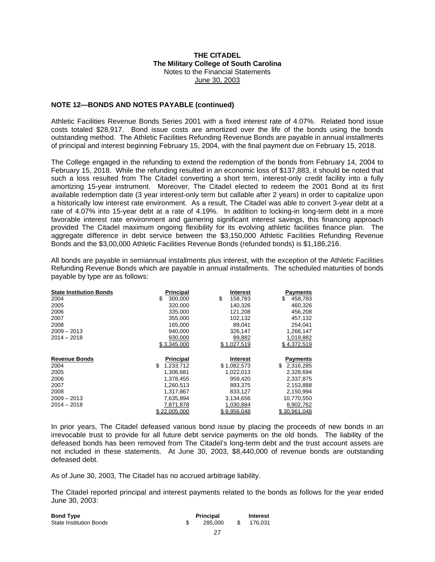#### **NOTE 12—BONDS AND NOTES PAYABLE (continued)**

Athletic Facilities Revenue Bonds Series 2001 with a fixed interest rate of 4.07%. Related bond issue costs totaled \$28,917. Bond issue costs are amortized over the life of the bonds using the bonds outstanding method. The Athletic Facilities Refunding Revenue Bonds are payable in annual installments of principal and interest beginning February 15, 2004, with the final payment due on February 15, 2018.

The College engaged in the refunding to extend the redemption of the bonds from February 14, 2004 to February 15, 2018. While the refunding resulted in an economic loss of \$137,883, it should be noted that such a loss resulted from The Citadel converting a short term, interest-only credit facility into a fully amortizing 15-year instrument. Moreover, The Citadel elected to redeem the 2001 Bond at its first available redemption date (3 year interest-only term but callable after 2 years) in order to capitalize upon a historically low interest rate environment. As a result, The Citadel was able to convert 3-year debt at a rate of 4.07% into 15-year debt at a rate of 4.19%. In addition to locking-in long-term debt in a more favorable interest rate environment and garnering significant interest savings, this financing approach provided The Citadel maximum ongoing flexibility for its evolving athletic facilities finance plan. The aggregate difference in debt service between the \$3,150,000 Athletic Facilities Refunding Revenue Bonds and the \$3,00,000 Athletic Facilities Revenue Bonds (refunded bonds) is \$1,186,216.

All bonds are payable in semiannual installments plus interest, with the exception of the Athletic Facilities Refunding Revenue Bonds which are payable in annual installments. The scheduled maturities of bonds payable by type are as follows:

| <b>State Institution Bonds</b> | <b>Principal</b> | Interest        | <b>Payments</b> |
|--------------------------------|------------------|-----------------|-----------------|
| 2004                           | 300,000<br>\$    | \$<br>158,783   | \$<br>458,783   |
| 2005                           | 320,000          | 140.326         | 460,326         |
| 2006                           | 335,000          | 121,208         | 456,208         |
| 2007                           | 355,000          | 102.132         | 457,132         |
| 2008                           | 165,000          | 89.041          | 254.041         |
| $2009 - 2013$                  | 940,000          | 326,147         | 1,266,147       |
| $2014 - 2018$                  | 930,000          | 89,882          | 1,019,882       |
|                                | \$3,345,000      | \$1,027,519     | \$4,372,519     |
|                                |                  |                 |                 |
|                                |                  |                 |                 |
| <b>Revenue Bonds</b>           | <b>Principal</b> | <b>Interest</b> | Payments        |
| 2004                           | \$<br>1,233,712  | \$1,082,573     | 2,316,285<br>\$ |
| 2005                           | 1,306,681        | 1,022,013       | 2,328,694       |
| 2006                           | 1,378,455        | 959.420         | 2,337,875       |
| 2007                           | 1,260,513        | 893,375         | 2,153,888       |
| 2008                           | 1,317,867        | 833.127         | 2,150,994       |
| $2009 - 2013$                  | 7,635,894        | 3,134,656       | 10,770,550      |
| $2014 - 2018$                  | 7,871,878        | 1,030,884       | 8,902,762       |

In prior years, The Citadel defeased various bond issue by placing the proceeds of new bonds in an irrevocable trust to provide for all future debt service payments on the old bonds. The liability of the defeased bonds has been removed from The Citadel's long-term debt and the trust account assets are not included in these statements. At June 30, 2003, \$8,440,000 of revenue bonds are outstanding defeased debt.

As of June 30, 2003, The Citadel has no accrued arbitrage liability.

The Citadel reported principal and interest payments related to the bonds as follows for the year ended June 30, 2003:

| <b>Bond Type</b>               | <b>Principal</b> | <b>Interest</b> |
|--------------------------------|------------------|-----------------|
| <b>State Institution Bonds</b> | 285.000          | 176.031         |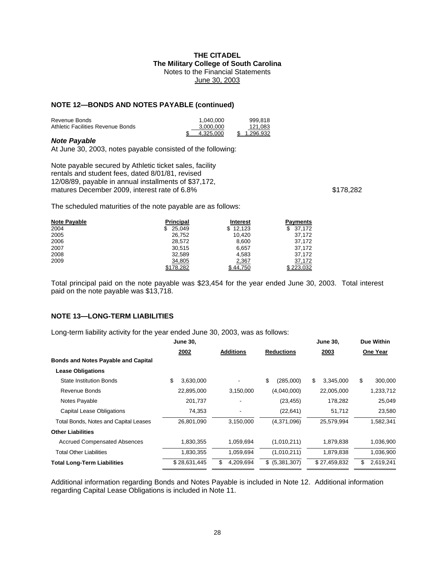#### **NOTE 12—BONDS AND NOTES PAYABLE (continued)**

| Revenue Bonds                     | 1.040.000 | 999.818     |
|-----------------------------------|-----------|-------------|
| Athletic Facilities Revenue Bonds | 3.000.000 | 121.083     |
|                                   | 4.325.000 | \$1.296.932 |

#### *Note Payable*

At June 30, 2003, notes payable consisted of the following:

Note payable secured by Athletic ticket sales, facility rentals and student fees, dated 8/01/81, revised 12/08/89, payable in annual installments of \$37,172, matures December 2009, interest rate of 6.8%  $$178,282$ 

The scheduled maturities of the note payable are as follows:

| <b>Note Payable</b> | <b>Principal</b> | <b>Interest</b> | <b>Payments</b> |
|---------------------|------------------|-----------------|-----------------|
| 2004                | 25,049<br>\$.    | \$12,123        | \$37.172        |
| 2005                | 26,752           | 10.420          | 37,172          |
| 2006                | 28.572           | 8,600           | 37,172          |
| 2007                | 30,515           | 6,657           | 37,172          |
| 2008                | 32.589           | 4.583           | 37.172          |
| 2009                | 34,805           | 2,367           | 37,172          |
|                     | \$178.282        | \$44.750        | \$223.032       |

Total principal paid on the note payable was \$23,454 for the year ended June 30, 2003. Total interest paid on the note payable was \$13,718.

## **NOTE 13—LONG-TERM LIABILITIES**

Long-term liability activity for the year ended June 30, 2003, was as follows:

|                                              | <b>June 30,</b> |                  |                   | <b>June 30,</b> | Due Within      |
|----------------------------------------------|-----------------|------------------|-------------------|-----------------|-----------------|
|                                              | 2002            | <b>Additions</b> | <b>Reductions</b> | 2003            | One Year        |
| <b>Bonds and Notes Payable and Capital</b>   |                 |                  |                   |                 |                 |
| <b>Lease Obligations</b>                     |                 |                  |                   |                 |                 |
| <b>State Institution Bonds</b>               | \$<br>3,630,000 |                  | \$<br>(285,000)   | \$<br>3,345,000 | \$<br>300,000   |
| Revenue Bonds                                | 22,895,000      | 3,150,000        | (4,040,000)       | 22,005,000      | 1,233,712       |
| Notes Payable                                | 201,737         |                  | (23, 455)         | 178,282         | 25,049          |
| <b>Capital Lease Obligations</b>             | 74,353          |                  | (22, 641)         | 51,712          | 23,580          |
| <b>Total Bonds, Notes and Capital Leases</b> | 26,801,090      | 3,150,000        | (4,371,096)       | 25,579,994      | 1,582,341       |
| <b>Other Liabilities</b>                     |                 |                  |                   |                 |                 |
| <b>Accrued Compensated Absences</b>          | 1,830,355       | 1,059,694        | (1,010,211)       | 1,879,838       | 1,036,900       |
| <b>Total Other Liabilities</b>               | 1,830,355       | 1,059,694        | (1,010,211)       | 1,879,838       | 1,036,900       |
| <b>Total Long-Term Liabilities</b>           | \$28,631,445    | \$<br>4,209,694  | \$ (5,381,307)    | \$27,459,832    | \$<br>2,619,241 |

Additional information regarding Bonds and Notes Payable is included in Note 12. Additional information regarding Capital Lease Obligations is included in Note 11.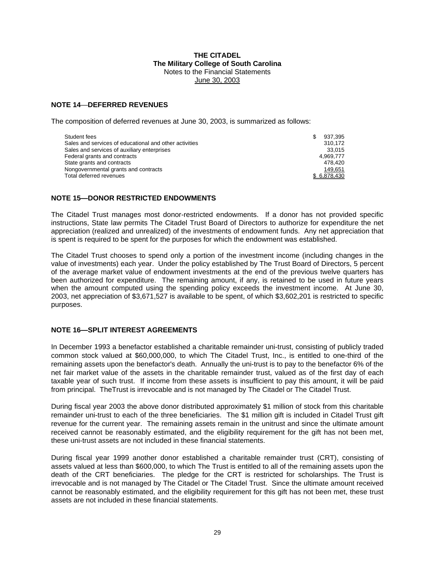## **NOTE 14**—**DEFERRED REVENUES**

The composition of deferred revenues at June 30, 2003, is summarized as follows:

| Student fees                                           | S | 937.395     |
|--------------------------------------------------------|---|-------------|
| Sales and services of educational and other activities |   | 310.172     |
| Sales and services of auxiliary enterprises            |   | 33.015      |
| Federal grants and contracts                           |   | 4.969.777   |
| State grants and contracts                             |   | 478.420     |
| Nongovernmental grants and contracts                   |   | 149.651     |
| Total deferred revenues                                |   | \$6.878.430 |

### **NOTE 15—DONOR RESTRICTED ENDOWMENTS**

The Citadel Trust manages most donor-restricted endowments. If a donor has not provided specific instructions, State law permits The Citadel Trust Board of Directors to authorize for expenditure the net appreciation (realized and unrealized) of the investments of endowment funds. Any net appreciation that is spent is required to be spent for the purposes for which the endowment was established.

The Citadel Trust chooses to spend only a portion of the investment income (including changes in the value of investments) each year. Under the policy established by The Trust Board of Directors, 5 percent of the average market value of endowment investments at the end of the previous twelve quarters has been authorized for expenditure. The remaining amount, if any, is retained to be used in future years when the amount computed using the spending policy exceeds the investment income. At June 30, 2003, net appreciation of \$3,671,527 is available to be spent, of which \$3,602,201 is restricted to specific purposes.

## **NOTE 16—SPLIT INTEREST AGREEMENTS**

In December 1993 a benefactor established a charitable remainder uni-trust, consisting of publicly traded common stock valued at \$60,000,000, to which The Citadel Trust, Inc., is entitled to one-third of the remaining assets upon the benefactor's death. Annually the uni-trust is to pay to the benefactor 6% of the net fair market value of the assets in the charitable remainder trust, valued as of the first day of each taxable year of such trust. If income from these assets is insufficient to pay this amount, it will be paid from principal. TheTrust is irrevocable and is not managed by The Citadel or The Citadel Trust.

During fiscal year 2003 the above donor distributed approximately \$1 million of stock from this charitable remainder uni-trust to each of the three beneficiaries. The \$1 million gift is included in Citadel Trust gift revenue for the current year. The remaining assets remain in the unitrust and since the ultimate amount received cannot be reasonably estimated, and the eligibility requirement for the gift has not been met, these uni-trust assets are not included in these financial statements.

During fiscal year 1999 another donor established a charitable remainder trust (CRT), consisting of assets valued at less than \$600,000, to which The Trust is entitled to all of the remaining assets upon the death of the CRT beneficiaries. The pledge for the CRT is restricted for scholarships. The Trust is irrevocable and is not managed by The Citadel or The Citadel Trust. Since the ultimate amount received cannot be reasonably estimated, and the eligibility requirement for this gift has not been met, these trust assets are not included in these financial statements.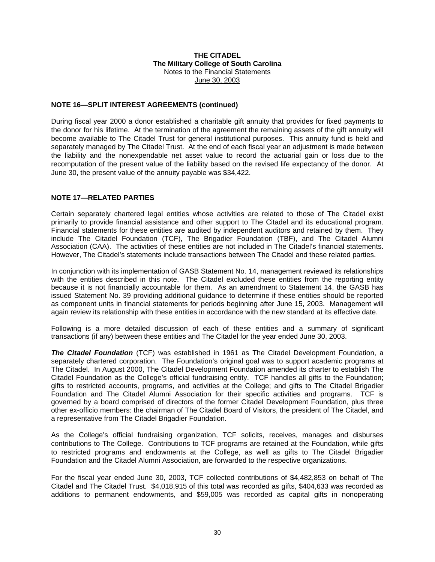### **NOTE 16—SPLIT INTEREST AGREEMENTS (continued)**

During fiscal year 2000 a donor established a charitable gift annuity that provides for fixed payments to the donor for his lifetime. At the termination of the agreement the remaining assets of the gift annuity will become available to The Citadel Trust for general institutional purposes. This annuity fund is held and separately managed by The Citadel Trust. At the end of each fiscal year an adjustment is made between the liability and the nonexpendable net asset value to record the actuarial gain or loss due to the recomputation of the present value of the liability based on the revised life expectancy of the donor. At June 30, the present value of the annuity payable was \$34,422.

### **NOTE 17—RELATED PARTIES**

Certain separately chartered legal entities whose activities are related to those of The Citadel exist primarily to provide financial assistance and other support to The Citadel and its educational program. Financial statements for these entities are audited by independent auditors and retained by them. They include The Citadel Foundation (TCF), The Brigadier Foundation (TBF), and The Citadel Alumni Association (CAA). The activities of these entities are not included in The Citadel's financial statements. However, The Citadel's statements include transactions between The Citadel and these related parties.

In conjunction with its implementation of GASB Statement No. 14, management reviewed its relationships with the entities described in this note. The Citadel excluded these entities from the reporting entity because it is not financially accountable for them. As an amendment to Statement 14, the GASB has issued Statement No. 39 providing additional guidance to determine if these entities should be reported as component units in financial statements for periods beginning after June 15, 2003. Management will again review its relationship with these entities in accordance with the new standard at its effective date.

Following is a more detailed discussion of each of these entities and a summary of significant transactions (if any) between these entities and The Citadel for the year ended June 30, 2003.

*The Citadel Foundation* (TCF) was established in 1961 as The Citadel Development Foundation, a separately chartered corporation. The Foundation's original goal was to support academic programs at The Citadel. In August 2000, The Citadel Development Foundation amended its charter to establish The Citadel Foundation as the College's official fundraising entity. TCF handles all gifts to the Foundation; gifts to restricted accounts, programs, and activities at the College; and gifts to The Citadel Brigadier Foundation and The Citadel Alumni Association for their specific activities and programs. TCF is governed by a board comprised of directors of the former Citadel Development Foundation, plus three other ex-officio members: the chairman of The Citadel Board of Visitors, the president of The Citadel, and a representative from The Citadel Brigadier Foundation.

As the College's official fundraising organization, TCF solicits, receives, manages and disburses contributions to The College. Contributions to TCF programs are retained at the Foundation, while gifts to restricted programs and endowments at the College, as well as gifts to The Citadel Brigadier Foundation and the Citadel Alumni Association, are forwarded to the respective organizations.

For the fiscal year ended June 30, 2003, TCF collected contributions of \$4,482,853 on behalf of The Citadel and The Citadel Trust. \$4,018,915 of this total was recorded as gifts, \$404,633 was recorded as additions to permanent endowments, and \$59,005 was recorded as capital gifts in nonoperating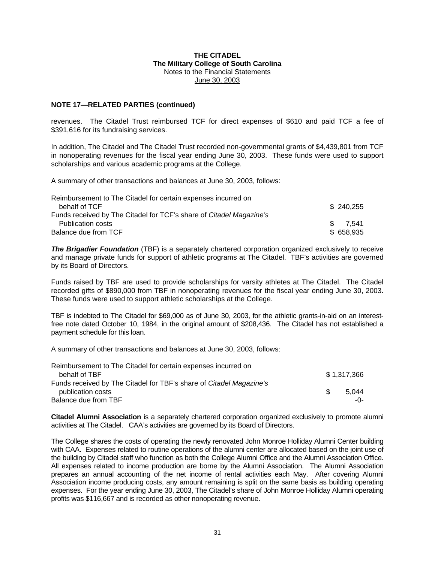### **NOTE 17—RELATED PARTIES (continued)**

revenues. The Citadel Trust reimbursed TCF for direct expenses of \$610 and paid TCF a fee of \$391,616 for its fundraising services.

In addition, The Citadel and The Citadel Trust recorded non-governmental grants of \$4,439,801 from TCF in nonoperating revenues for the fiscal year ending June 30, 2003. These funds were used to support scholarships and various academic programs at the College.

A summary of other transactions and balances at June 30, 2003, follows:

| Reimbursement to The Citadel for certain expenses incurred on       |           |  |
|---------------------------------------------------------------------|-----------|--|
| behalf of TCF                                                       | \$240,255 |  |
| Funds received by The Citadel for TCF's share of Citadel Magazine's |           |  |
| Publication costs                                                   | \$7.541   |  |
| Balance due from TCF                                                | \$658,935 |  |

*The Brigadier Foundation* (TBF) is a separately chartered corporation organized exclusively to receive and manage private funds for support of athletic programs at The Citadel. TBF's activities are governed by its Board of Directors.

Funds raised by TBF are used to provide scholarships for varsity athletes at The Citadel. The Citadel recorded gifts of \$890,000 from TBF in nonoperating revenues for the fiscal year ending June 30, 2003. These funds were used to support athletic scholarships at the College.

TBF is indebted to The Citadel for \$69,000 as of June 30, 2003, for the athletic grants-in-aid on an interestfree note dated October 10, 1984, in the original amount of \$208,436. The Citadel has not established a payment schedule for this loan.

A summary of other transactions and balances at June 30, 2003, follows:

| Reimbursement to The Citadel for certain expenses incurred on       |     |             |
|---------------------------------------------------------------------|-----|-------------|
| behalf of TBF                                                       |     | \$1,317,366 |
| Funds received by The Citadel for TBF's share of Citadel Magazine's |     |             |
| publication costs                                                   | -SS | 5.044       |
| Balance due from TBF                                                |     | -∩-         |

**Citadel Alumni Association** is a separately chartered corporation organized exclusively to promote alumni activities at The Citadel. CAA's activities are governed by its Board of Directors.

The College shares the costs of operating the newly renovated John Monroe Holliday Alumni Center building with CAA. Expenses related to routine operations of the alumni center are allocated based on the joint use of the building by Citadel staff who function as both the College Alumni Office and the Alumni Association Office. All expenses related to income production are borne by the Alumni Association. The Alumni Association prepares an annual accounting of the net income of rental activities each May. After covering Alumni Association income producing costs, any amount remaining is split on the same basis as building operating expenses. For the year ending June 30, 2003, The Citadel's share of John Monroe Holliday Alumni operating profits was \$116,667 and is recorded as other nonoperating revenue.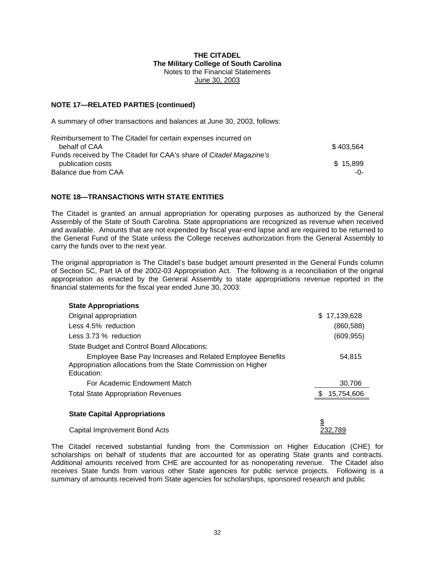### **NOTE 17—RELATED PARTIES (continued)**

A summary of other transactions and balances at June 30, 2003, follows:

| Reimbursement to The Citadel for certain expenses incurred on       |           |
|---------------------------------------------------------------------|-----------|
| behalf of CAA                                                       | \$403.564 |
| Funds received by The Citadel for CAA's share of Citadel Magazine's |           |
| publication costs                                                   | \$15.899  |
| Balance due from CAA                                                | -0-       |

### **NOTE 18—TRANSACTIONS WITH STATE ENTITIES**

The Citadel is granted an annual appropriation for operating purposes as authorized by the General Assembly of the State of South Carolina. State appropriations are recognized as revenue when received and available. Amounts that are not expended by fiscal year-end lapse and are required to be returned to the General Fund of the State unless the College receives authorization from the General Assembly to carry the funds over to the next year.

The original appropriation is The Citadel's base budget amount presented in the General Funds column of Section 5C, Part IA of the 2002-03 Appropriation Act. The following is a reconciliation of the original appropriation as enacted by the General Assembly to state appropriations revenue reported in the financial statements for the fiscal year ended June 30, 2003:

| <b>State Appropriations</b>                                                                                                              |                   |
|------------------------------------------------------------------------------------------------------------------------------------------|-------------------|
| Original appropriation                                                                                                                   | 17,139,628<br>\$. |
| Less 4.5% reduction                                                                                                                      | (860, 588)        |
| Less 3.73 % reduction                                                                                                                    | (609, 955)        |
| State Budget and Control Board Allocations:                                                                                              |                   |
| Employee Base Pay Increases and Related Employee Benefits<br>Appropriation allocations from the State Commission on Higher<br>Education: | 54.815            |
| For Academic Endowment Match                                                                                                             | 30.706            |
| <b>Total State Appropriation Revenues</b>                                                                                                | 15,754,606        |
| <b>State Capital Appropriations</b>                                                                                                      | \$                |
| Capital Improvement Bond Acts                                                                                                            | 232.789           |

The Citadel received substantial funding from the Commission on Higher Education (CHE) for scholarships on behalf of students that are accounted for as operating State grants and contracts. Additional amounts received from CHE are accounted for as nonoperating revenue. The Citadel also receives State funds from various other State agencies for public service projects. Following is a summary of amounts received from State agencies for scholarships, sponsored research and public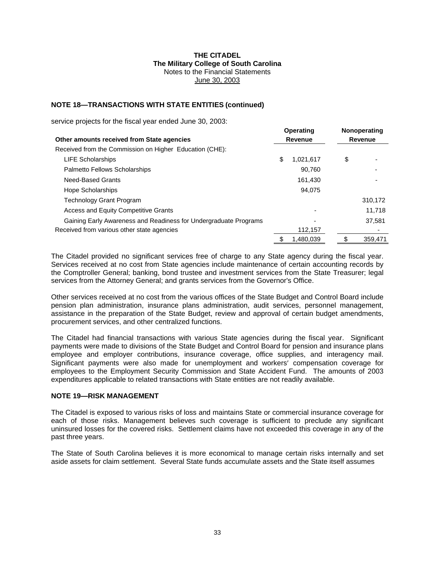## **NOTE 18—TRANSACTIONS WITH STATE ENTITIES (continued)**

service projects for the fiscal year ended June 30, 2003:

| Other amounts received from State agencies                       |    | <b>Operating</b><br>Revenue |    | Nonoperating<br>Revenue |  |
|------------------------------------------------------------------|----|-----------------------------|----|-------------------------|--|
| Received from the Commission on Higher Education (CHE):          |    |                             |    |                         |  |
| <b>LIFE Scholarships</b>                                         | \$ | 1,021,617                   | \$ |                         |  |
| <b>Palmetto Fellows Scholarships</b>                             |    | 90.760                      |    |                         |  |
| Need-Based Grants                                                |    | 161,430                     |    |                         |  |
| Hope Scholarships                                                |    | 94.075                      |    |                         |  |
| <b>Technology Grant Program</b>                                  |    |                             |    | 310,172                 |  |
| Access and Equity Competitive Grants                             |    |                             |    | 11,718                  |  |
| Gaining Early Awareness and Readiness for Undergraduate Programs |    |                             |    | 37.581                  |  |
| Received from various other state agencies                       |    | 112,157                     |    |                         |  |
|                                                                  | \$ | 1.480.039                   | \$ | 359.471                 |  |

The Citadel provided no significant services free of charge to any State agency during the fiscal year. Services received at no cost from State agencies include maintenance of certain accounting records by the Comptroller General; banking, bond trustee and investment services from the State Treasurer; legal services from the Attorney General; and grants services from the Governor's Office.

Other services received at no cost from the various offices of the State Budget and Control Board include pension plan administration, insurance plans administration, audit services, personnel management, assistance in the preparation of the State Budget, review and approval of certain budget amendments, procurement services, and other centralized functions.

The Citadel had financial transactions with various State agencies during the fiscal year. Significant payments were made to divisions of the State Budget and Control Board for pension and insurance plans employee and employer contributions, insurance coverage, office supplies, and interagency mail. Significant payments were also made for unemployment and workers′ compensation coverage for employees to the Employment Security Commission and State Accident Fund. The amounts of 2003 expenditures applicable to related transactions with State entities are not readily available.

### **NOTE 19—RISK MANAGEMENT**

The Citadel is exposed to various risks of loss and maintains State or commercial insurance coverage for each of those risks. Management believes such coverage is sufficient to preclude any significant uninsured losses for the covered risks. Settlement claims have not exceeded this coverage in any of the past three years.

The State of South Carolina believes it is more economical to manage certain risks internally and set aside assets for claim settlement. Several State funds accumulate assets and the State itself assumes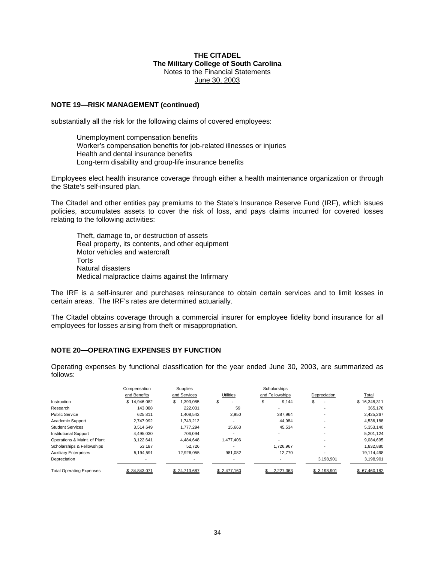#### **NOTE 19—RISK MANAGEMENT (continued)**

substantially all the risk for the following claims of covered employees:

Unemployment compensation benefits Worker's compensation benefits for job-related illnesses or injuries Health and dental insurance benefits Long-term disability and group-life insurance benefits

Employees elect health insurance coverage through either a health maintenance organization or through the State's self-insured plan.

The Citadel and other entities pay premiums to the State's Insurance Reserve Fund (IRF), which issues policies, accumulates assets to cover the risk of loss, and pays claims incurred for covered losses relating to the following activities:

Theft, damage to, or destruction of assets Real property, its contents, and other equipment Motor vehicles and watercraft **Torts** Natural disasters Medical malpractice claims against the Infirmary

The IRF is a self-insurer and purchases reinsurance to obtain certain services and to limit losses in certain areas. The IRF's rates are determined actuarially.

The Citadel obtains coverage through a commercial insurer for employee fidelity bond insurance for all employees for losses arising from theft or misappropriation.

#### **NOTE 20—OPERATING EXPENSES BY FUNCTION**

Operating expenses by functional classification for the year ended June 30, 2003, are summarized as follows:

|                                 | Compensation | Supplies      |                  | Scholarships    |              |              |
|---------------------------------|--------------|---------------|------------------|-----------------|--------------|--------------|
|                                 | and Benefits | and Services  | <b>Utilities</b> | and Fellowships | Depreciation | <b>Total</b> |
| Instruction                     | \$14.946.082 | .393.085<br>S | \$               | 9.144           | \$           | \$16,348,311 |
| Research                        | 143.088      | 222,031       | 59               | ٠               |              | 365,178      |
| <b>Public Service</b>           | 625.811      | 1.408.542     | 2,950            | 387.964         |              | 2,425,267    |
| Academic Support                | 2.747.992    | 1.743.212     |                  | 44.984          |              | 4,536,188    |
| <b>Student Services</b>         | 3.514.649    | 1.777.294     | 15,663           | 45,534          |              | 5,353,140    |
| <b>Institutional Support</b>    | 4,495,030    | 706.094       |                  |                 |              | 5,201,124    |
| Operations & Maint. of Plant    | 3,122,641    | 4.484.648     | 477.406          |                 |              | 9,084,695    |
| Scholarships & Fellowships      | 53.187       | 52.726        |                  | 1.726.967       |              | 1,832,880    |
| <b>Auxiliary Enterprises</b>    | 5.194.591    | 12.926.055    | 981.082          | 12.770          |              | 19.114.498   |
| Depreciation                    |              |               |                  | ٠               | 3,198,901    | 3,198,901    |
| <b>Total Operating Expenses</b> | \$34.843.071 | \$24.713.687  | \$2.477.160      | 2.227.363       | \$3.198.901  | \$67.460.182 |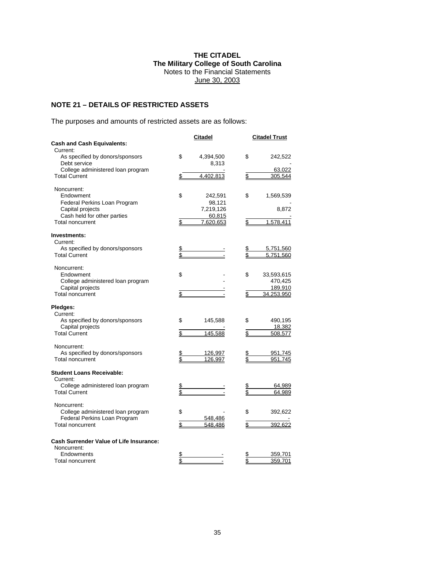## **NOTE 21 – DETAILS OF RESTRICTED ASSETS**

The purposes and amounts of restricted assets are as follows:

|                                                               | <b>Citadel</b>  |                         | <b>Citadel Trust</b>   |
|---------------------------------------------------------------|-----------------|-------------------------|------------------------|
| <b>Cash and Cash Equivalents:</b>                             |                 |                         |                        |
| Current:                                                      |                 |                         |                        |
| As specified by donors/sponsors                               | \$<br>4,394,500 | \$                      | 242,522                |
| Debt service                                                  | 8,313           |                         |                        |
| College administered loan program                             |                 |                         | 63,022                 |
| <b>Total Current</b>                                          | \$<br>4.402.813 | \$                      | 305.544                |
| Noncurrent:                                                   |                 |                         |                        |
| Endowment                                                     | \$<br>242,591   | \$                      | 1,569,539              |
| Federal Perkins Loan Program                                  | 98,121          |                         |                        |
| Capital projects                                              | 7,219,126       |                         | 8,872                  |
| Cash held for other parties                                   | 60,815          |                         |                        |
| <b>Total noncurrent</b>                                       | \$<br>7.620.653 | \$                      | 1.578.411              |
|                                                               |                 |                         |                        |
| Investments:                                                  |                 |                         |                        |
| Current:                                                      |                 |                         |                        |
| As specified by donors/sponsors<br><b>Total Current</b>       |                 | \$                      | 5,751,560<br>5,751,560 |
|                                                               |                 |                         |                        |
| Noncurrent:                                                   |                 |                         |                        |
| Endowment                                                     | \$              | \$                      | 33,593,615             |
| College administered loan program                             |                 |                         | 470,425                |
| Capital projects                                              |                 |                         | 189,910                |
| <b>Total noncurrent</b>                                       | \$              | \$                      | 34,253,950             |
| Pledges:                                                      |                 |                         |                        |
| Current:                                                      |                 |                         |                        |
| As specified by donors/sponsors                               | \$<br>145,588   | \$                      | 490,195                |
| Capital projects                                              |                 |                         | 18,382                 |
| <b>Total Current</b>                                          | \$<br>145,588   | $\overline{\mathbb{S}}$ | 508,577                |
| Noncurrent:                                                   |                 |                         |                        |
| As specified by donors/sponsors                               | \$<br>126,997   | \$                      | 951,745                |
| <b>Total noncurrent</b>                                       | \$<br>126,997   | \$                      | 951,745                |
|                                                               |                 |                         |                        |
| <b>Student Loans Receivable:</b>                              |                 |                         |                        |
| Current:                                                      |                 |                         |                        |
| College administered loan program<br><b>Total Current</b>     | \$              | \$                      | 64,989<br>64,989       |
|                                                               |                 |                         |                        |
| Noncurrent:                                                   |                 |                         |                        |
| College administered loan program                             | \$              | \$                      | 392,622                |
| Federal Perkins Loan Program                                  | 548,486         |                         |                        |
| <b>Total noncurrent</b>                                       | \$<br>548,486   | \$                      | 392,622                |
|                                                               |                 |                         |                        |
| <b>Cash Surrender Value of Life Insurance:</b><br>Noncurrent: |                 |                         |                        |
| Endowments                                                    | \$              | \$                      | 359,701                |
| Total noncurrent                                              | \$              | \$                      | 359,701                |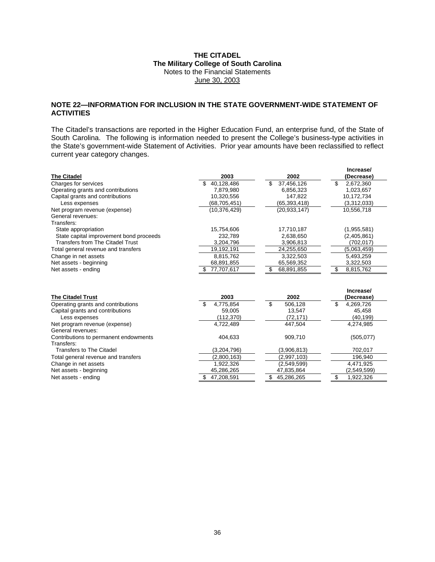### **NOTE 22—INFORMATION FOR INCLUSION IN THE STATE GOVERNMENT-WIDE STATEMENT OF ACTIVITIES**

The Citadel's transactions are reported in the Higher Education Fund, an enterprise fund, of the State of South Carolina. The following is information needed to present the College's business-type activities in the State's government-wide Statement of Activities. Prior year amounts have been reclassified to reflect current year category changes.

|                                         |                   |                   | Increase/        |
|-----------------------------------------|-------------------|-------------------|------------------|
| <b>The Citadel</b>                      | 2003              | 2002              | (Decrease)       |
| Charges for services                    | 40,128,486        | 37,456,126<br>\$. | 2,672,360<br>\$. |
| Operating grants and contributions      | 7,879,980         | 6,856,323         | 1,023,657        |
| Capital grants and contributions        | 10,320,556        | 147,822           | 10,172,734       |
| Less expenses                           | (68, 705, 451)    | (65, 393, 418)    | (3,312,033)      |
| Net program revenue (expense)           | (10, 376, 429)    | (20.933.147)      | 10,556,718       |
| General revenues:                       |                   |                   |                  |
| Transfers:                              |                   |                   |                  |
| State appropriation                     | 15,754,606        | 17,710,187        | (1,955,581)      |
| State capital improvement bond proceeds | 232,789           | 2,638,650         | (2,405,861)      |
| Transfers from The Citadel Trust        | 3,204,796         | 3,906,813         | (702, 017)       |
| Total general revenue and transfers     | 19,192,191        | 24,255,650        | (5,063,459)      |
| Change in net assets                    | 8,815,762         | 3,322,503         | 5,493,259        |
| Net assets - beginning                  | 68,891,855        | 65,569,352        | 3,322,503        |
| Net assets - ending                     | 77,707,617<br>\$  | 68,891,855        | \$<br>8,815,762  |
|                                         |                   |                   |                  |
|                                         |                   |                   | Increase/        |
| <b>The Citadel Trust</b>                | 2003              | 2002              | (Decrease)       |
| Operating grants and contributions      | \$<br>4,775,854   | \$<br>506,128     | \$<br>4,269,726  |
| Capital grants and contributions        | 59,005            | 13,547            | 45,458           |
| Less expenses                           | (112, 370)        | (72, 171)         | (40, 199)        |
| Net program revenue (expense)           | 4,722,489         | 447,504           | 4,274,985        |
| General revenues:                       |                   |                   |                  |
| Contributions to permanent endowments   | 404,633           | 909,710           | (505,077)        |
| Transfers:                              |                   |                   |                  |
| <b>Transfers to The Citadel</b>         | (3,204,796)       | (3,906,813)       | 702,017          |
| Total general revenue and transfers     | (2,800,163)       | (2,997,103)       | 196,940          |
| Change in net assets                    | 1,922,326         | (2,549,599)       | 4,471,925        |
| Net assets - beginning                  | 45,286,265        | 47,835,864        | (2,549,599)      |
| Net assets - ending                     | 47.208.591<br>\$. | 45,286,265<br>\$  | \$<br>1,922,326  |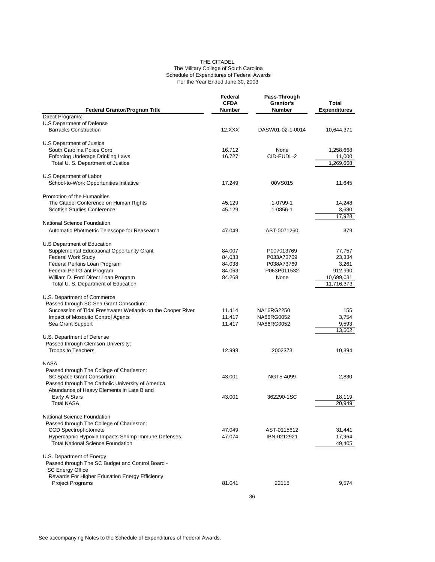#### THE CITADEL The Military College of South Carolina Schedule of Expenditures of Federal Awards For the Year Ended June 30, 2003

| <b>Federal Grantor/Program Title</b>                                                                                                                                                            | Federal<br><b>CFDA</b><br><b>Number</b> | Pass-Through<br>Grantor's<br><b>Number</b> | <b>Total</b><br><b>Expenditures</b> |
|-------------------------------------------------------------------------------------------------------------------------------------------------------------------------------------------------|-----------------------------------------|--------------------------------------------|-------------------------------------|
| Direct Programs:                                                                                                                                                                                |                                         |                                            |                                     |
| U.S Department of Defense<br><b>Barracks Construction</b>                                                                                                                                       | 12.XXX                                  | DASW01-02-1-0014                           | 10,644,371                          |
| U.S Department of Justice                                                                                                                                                                       |                                         |                                            |                                     |
| South Carolina Police Corp                                                                                                                                                                      | 16.712                                  | None                                       | 1,258,668                           |
| <b>Enforcing Underage Drinking Laws</b>                                                                                                                                                         | 16.727                                  | CID-EUDL-2                                 | 11,000                              |
| Total U. S. Department of Justice                                                                                                                                                               |                                         |                                            | 1,269,668                           |
| U.S Department of Labor                                                                                                                                                                         |                                         |                                            |                                     |
| School-to-Work Opportunities Initiative                                                                                                                                                         | 17.249                                  | 00VS015                                    | 11,645                              |
| Promotion of the Humanities                                                                                                                                                                     |                                         |                                            |                                     |
| The Citadel Conference on Human Rights                                                                                                                                                          | 45.129                                  | 1-0799-1                                   | 14,248                              |
| <b>Scottish Studies Conference</b>                                                                                                                                                              | 45.129                                  | 1-0856-1                                   | 3,680                               |
|                                                                                                                                                                                                 |                                         |                                            | 17,928                              |
| National Science Foundation                                                                                                                                                                     |                                         |                                            |                                     |
| Automatic Photmetric Telescope for Reasearch                                                                                                                                                    | 47.049                                  | AST-0071260                                | 379                                 |
| U.S Department of Education                                                                                                                                                                     |                                         |                                            |                                     |
| Supplemental Educational Opportunity Grant                                                                                                                                                      | 84.007                                  | P007013769                                 | 77,757                              |
| <b>Federal Work Study</b>                                                                                                                                                                       | 84.033                                  | P033A73769                                 | 23,334                              |
| Federal Perkins Loan Program                                                                                                                                                                    | 84.038                                  | P038A73769                                 | 3,261                               |
| Federal Pell Grant Program                                                                                                                                                                      | 84.063                                  | P063P011532                                | 912,990                             |
| William D. Ford Direct Loan Program<br>Total U. S. Department of Education                                                                                                                      | 84.268                                  | None                                       | 10,699,031<br>11,716,373            |
| U.S. Department of Commerce<br>Passed through SC Sea Grant Consortium:<br>Succession of Tidal Freshwater Wetlands on the Cooper River<br>Impact of Mosquito Control Agents<br>Sea Grant Support | 11.414<br>11.417<br>11.417              | NA16RG2250<br>NA86RG0052<br>NA86RG0052     | 155<br>3,754<br>9,593               |
|                                                                                                                                                                                                 |                                         |                                            | 13,502                              |
| U.S. Department of Defense<br>Passed through Clemson University:                                                                                                                                |                                         |                                            |                                     |
| <b>Troops to Teachers</b>                                                                                                                                                                       | 12.999                                  | 2002373                                    | 10,394                              |
| <b>NASA</b>                                                                                                                                                                                     |                                         |                                            |                                     |
| Passed through The College of Charleston:                                                                                                                                                       |                                         |                                            |                                     |
| SC Space Grant Consortium                                                                                                                                                                       | 43.001                                  | NGT5-4099                                  | 2,830                               |
| Passed through The Catholic University of America                                                                                                                                               |                                         |                                            |                                     |
| Abundance of Heavy Elements in Late B and                                                                                                                                                       |                                         |                                            |                                     |
| Early A Stars                                                                                                                                                                                   | 43.001                                  | 362290-1SC                                 | 18,119                              |
| <b>Total NASA</b>                                                                                                                                                                               |                                         |                                            | 20.949                              |
| <b>National Science Foundation</b>                                                                                                                                                              |                                         |                                            |                                     |
| Passed through The College of Charleston:                                                                                                                                                       |                                         |                                            |                                     |
| <b>CCD Spectrophotomete</b>                                                                                                                                                                     | 47.049                                  | AST-0115612                                | 31,441                              |
| Hypercapnic Hypoxia Impacts Shrimp Immune Defenses                                                                                                                                              | 47.074                                  | IBN-0212921                                | 17,964                              |
| <b>Total National Science Foundation</b>                                                                                                                                                        |                                         |                                            | 49,405                              |
| U.S. Department of Energy                                                                                                                                                                       |                                         |                                            |                                     |
| Passed through The SC Budget and Control Board -                                                                                                                                                |                                         |                                            |                                     |
| <b>SC Energy Office</b>                                                                                                                                                                         |                                         |                                            |                                     |
| Rewards For Higher Education Energy Efficiency                                                                                                                                                  |                                         |                                            |                                     |
| <b>Project Programs</b>                                                                                                                                                                         | 81.041                                  | 22118                                      | 9,574                               |
|                                                                                                                                                                                                 |                                         | 36                                         |                                     |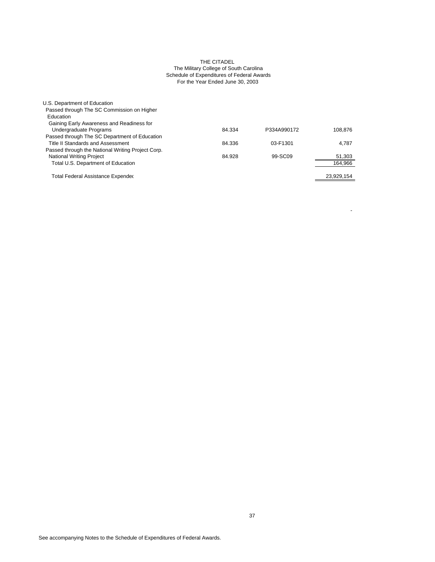#### THE CITADEL The Military College of South Carolina Schedule of Expenditures of Federal Awards For the Year Ended June 30, 2003

| U.S. Department of Education                      |        |             |            |
|---------------------------------------------------|--------|-------------|------------|
| Passed through The SC Commission on Higher        |        |             |            |
| Education                                         |        |             |            |
| Gaining Early Awareness and Readiness for         |        |             |            |
| Undergraduate Programs                            | 84.334 | P334A990172 | 108.876    |
| Passed through The SC Department of Education     |        |             |            |
| Title II Standards and Assessment                 | 84.336 | 03-F1301    | 4.787      |
| Passed through the National Writing Project Corp. |        |             |            |
| <b>National Writing Project</b>                   | 84.928 | 99-SC09     | 51,303     |
| Total U.S. Department of Education                |        |             | 164,966    |
|                                                   |        |             |            |
| Total Federal Assistance Expendec                 |        |             | 23,929,154 |

- 100 minutes